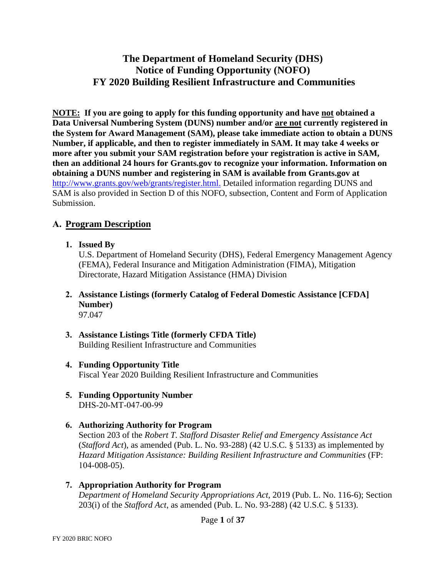# **The Department of Homeland Security (DHS) Notice of Funding Opportunity (NOFO) FY 2020 Building Resilient Infrastructure and Communities**

**NOTE: If you are going to apply for this funding opportunity and have not obtained a Data Universal Numbering System (DUNS) number and/or are not currently registered in the System for Award Management (SAM), please take immediate action to obtain a DUNS Number, if applicable, and then to register immediately in SAM. It may take 4 weeks or more after you submit your SAM registration before your registration is active in SAM, then an additional 24 hours for Grants.gov to recognize your information. Information on obtaining a DUNS number and registering in SAM is available from Grants.gov at**  [http://www.grants.gov/web/grants/register.html.](http://www.grants.gov/web/grants/register.html) Detailed information regarding DUNS and SAM is also provided in Section D of this NOFO, subsection, Content and Form of Application Submission.

## **A. Program Description**

**1. Issued By**

U.S. Department of Homeland Security (DHS), Federal Emergency Management Agency (FEMA), Federal Insurance and Mitigation Administration (FIMA), Mitigation Directorate, Hazard Mitigation Assistance (HMA) Division

- **2. Assistance Listings (formerly Catalog of Federal Domestic Assistance [CFDA] Number)** 97.047
- **3. Assistance Listings Title (formerly CFDA Title)** Building Resilient Infrastructure and Communities
- **4. Funding Opportunity Title** Fiscal Year 2020 Building Resilient Infrastructure and Communities
- **5. Funding Opportunity Number** DHS-20-MT-047-00-99

#### **6. Authorizing Authority for Program**

Section 203 of the *Robert T. Stafford Disaster Relief and Emergency Assistance Act* (*Stafford Act*), as amended (Pub. L. No. 93-288) (42 U.S.C. § 5133) as implemented by *Hazard Mitigation Assistance: Building Resilient Infrastructure and Communities* (FP: 104-008-05).

**7. Appropriation Authority for Program** *Department of Homeland Security Appropriations Act*, 2019 (Pub. L. No. 116-6); Section 203(i) of the *Stafford Act*, as amended (Pub. L. No. 93-288) (42 U.S.C. § 5133).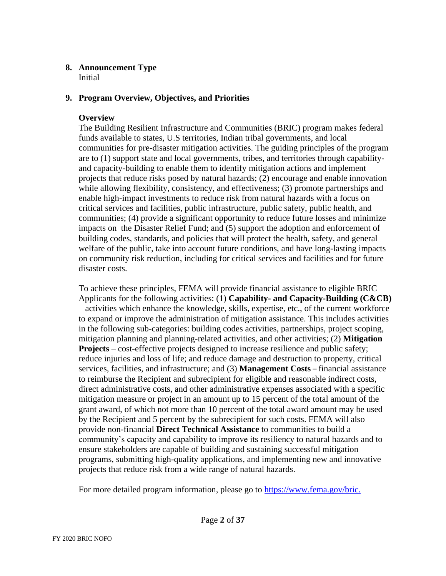#### **8. Announcement Type**  Initial

## **9. Program Overview, Objectives, and Priorities**

### **Overview**

The Building Resilient Infrastructure and Communities (BRIC) program makes federal funds available to states, U.S territories, Indian tribal governments, and local communities for pre-disaster mitigation activities. The guiding principles of the program are to (1) support state and local governments, tribes, and territories through capabilityand capacity-building to enable them to identify mitigation actions and implement projects that reduce risks posed by natural hazards; (2) encourage and enable innovation while allowing flexibility, consistency, and effectiveness; (3) promote partnerships and enable high-impact investments to reduce risk from natural hazards with a focus on critical services and facilities, public infrastructure, public safety, public health, and communities; (4) provide a significant opportunity to reduce future losses and minimize impacts on the Disaster Relief Fund; and (5) support the adoption and enforcement of building codes, standards, and policies that will protect the health, safety, and general welfare of the public, take into account future conditions, and have long-lasting impacts on community risk reduction, including for critical services and facilities and for future disaster costs.

To achieve these principles, FEMA will provide financial assistance to eligible BRIC Applicants for the following activities: (1) **Capability- and Capacity-Building (C&CB)** – activities which enhance the knowledge, skills, expertise, etc., of the current workforce to expand or improve the administration of mitigation assistance. This includes activities in the following sub-categories: building codes activities, partnerships, project scoping, mitigation planning and planning-related activities, and other activities; (2) **Mitigation Projects** – cost-effective projects designed to increase resilience and public safety; reduce injuries and loss of life; and reduce damage and destruction to property, critical services, facilities, and infrastructure; and (3) **Management Costs** – financial assistance to reimburse the Recipient and subrecipient for eligible and reasonable indirect costs, direct administrative costs, and other administrative expenses associated with a specific mitigation measure or project in an amount up to 15 percent of the total amount of the grant award, of which not more than 10 percent of the total award amount may be used by the Recipient and 5 percent by the subrecipient for such costs. FEMA will also provide non-financial **Direct Technical Assistance** to communities to build a community's capacity and capability to improve its resiliency to natural hazards and to ensure stakeholders are capable of building and sustaining successful mitigation programs, submitting high-quality applications, and implementing new and innovative projects that reduce risk from a wide range of natural hazards.

For more detailed program information, please go to [https://www.fema.gov/bric.](https://www.fema.gov/bric)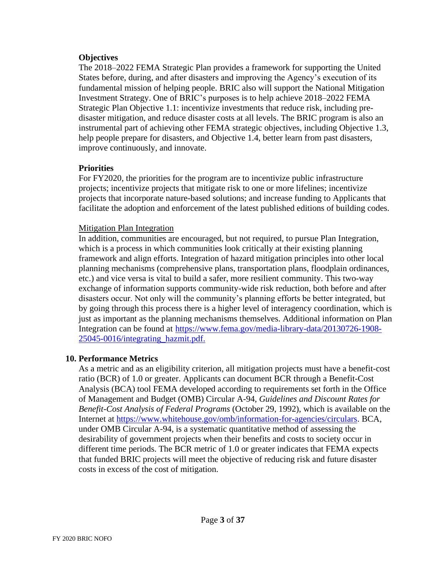#### **Objectives**

The 2018–2022 FEMA Strategic Plan provides a framework for supporting the United States before, during, and after disasters and improving the Agency's execution of its fundamental mission of helping people. BRIC also will support the National Mitigation Investment Strategy. One of BRIC's purposes is to help achieve 2018–2022 FEMA Strategic Plan Objective 1.1: incentivize investments that reduce risk, including predisaster mitigation, and reduce disaster costs at all levels. The BRIC program is also an instrumental part of achieving other FEMA strategic objectives, including Objective 1.3, help people prepare for disasters, and Objective 1.4, better learn from past disasters, improve continuously, and innovate.

#### **Priorities**

For FY2020, the priorities for the program are to incentivize public infrastructure projects; incentivize projects that mitigate risk to one or more lifelines; incentivize projects that incorporate nature-based solutions; and increase funding to Applicants that facilitate the adoption and enforcement of the latest published editions of building codes.

#### Mitigation Plan Integration

In addition, communities are encouraged, but not required, to pursue Plan Integration, which is a process in which communities look critically at their existing planning framework and align efforts. Integration of hazard mitigation principles into other local planning mechanisms (comprehensive plans, transportation plans, floodplain ordinances, etc.) and vice versa is vital to build a safer, more resilient community. This two-way exchange of information supports community-wide risk reduction, both before and after disasters occur. Not only will the community's planning efforts be better integrated, but by going through this process there is a higher level of interagency coordination, which is just as important as the planning mechanisms themselves. Additional information on Plan Integration can be found at [https://www.fema.gov/media-library-data/20130726-1908-](https://www.fema.gov/media-library-data/20130726-1908-25045-0016/integrating_hazmit.pdf) 25045-0016/integrating\_hazmit.pdf.

#### **10. Performance Metrics**

As a metric and as an eligibility criterion, all mitigation projects must have a benefit-cost ratio (BCR) of 1.0 or greater. Applicants can document BCR through a Benefit-Cost Analysis (BCA) tool FEMA developed according to requirements set forth in the Office of Management and Budget (OMB) Circular A-94, *Guidelines and Discount Rates for Benefit-Cost Analysis of Federal Programs* (October 29, 1992), which is available on the Internet at [https://www.whitehouse.gov/omb/information-for-agencies/circulars.](https://www.whitehouse.gov/omb/information-for-agencies/circulars) BCA, under OMB Circular A-94, is a systematic quantitative method of assessing the desirability of government projects when their benefits and costs to society occur in different time periods. The BCR metric of 1.0 or greater indicates that FEMA expects that funded BRIC projects will meet the objective of reducing risk and future disaster costs in excess of the cost of mitigation.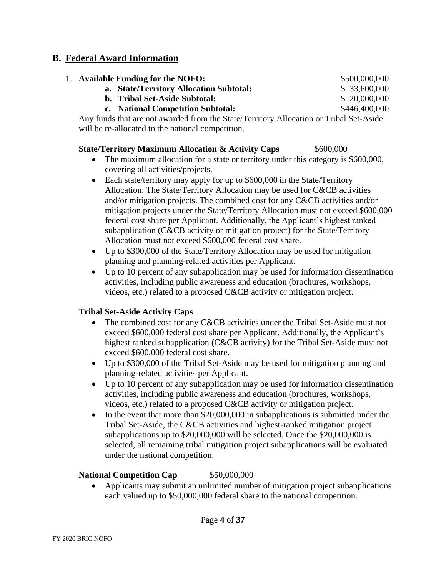## **B. Federal Award Information**

| 1. Available Funding for the NOFO:                                                     | \$500,000,000 |
|----------------------------------------------------------------------------------------|---------------|
| a. State/Territory Allocation Subtotal:                                                | \$33,600,000  |
| <b>b.</b> Tribal Set-Aside Subtotal:                                                   | \$20,000,000  |
| c. National Competition Subtotal:                                                      | \$446,400,000 |
| Any funds that are not awarded from the State/Territory Allocation or Tribal Set-Aside |               |

Any funds that are not awarded from the State/Territory Allocation or Tribal Set-Aside will be re-allocated to the national competition.

### **State/Territory Maximum Allocation & Activity Caps** \$600,000

- The maximum allocation for a state or territory under this category is \$600,000, covering all activities/projects.
- Each state/territory may apply for up to \$600,000 in the State/Territory Allocation. The State/Territory Allocation may be used for C&CB activities and/or mitigation projects. The combined cost for any C&CB activities and/or mitigation projects under the State/Territory Allocation must not exceed \$600,000 federal cost share per Applicant. Additionally, the Applicant's highest ranked subapplication (C&CB activity or mitigation project) for the State/Territory Allocation must not exceed \$600,000 federal cost share.
- Up to \$300,000 of the State/Territory Allocation may be used for mitigation planning and planning-related activities per Applicant.
- Up to 10 percent of any subapplication may be used for information dissemination activities, including public awareness and education (brochures, workshops, videos, etc.) related to a proposed C&CB activity or mitigation project.

## **Tribal Set-Aside Activity Caps**

- The combined cost for any C&CB activities under the Tribal Set-Aside must not exceed \$600,000 federal cost share per Applicant. Additionally, the Applicant's highest ranked subapplication (C&CB activity) for the Tribal Set-Aside must not exceed \$600,000 federal cost share.
- Up to \$300,000 of the Tribal Set-Aside may be used for mitigation planning and planning-related activities per Applicant.
- Up to 10 percent of any subapplication may be used for information dissemination activities, including public awareness and education (brochures, workshops, videos, etc.) related to a proposed C&CB activity or mitigation project.
- In the event that more than \$20,000,000 in subapplications is submitted under the Tribal Set-Aside, the C&CB activities and highest-ranked mitigation project subapplications up to \$20,000,000 will be selected. Once the \$20,000,000 is selected, all remaining tribal mitigation project subapplications will be evaluated under the national competition.

## **National Competition Cap** \$50,000,000

• Applicants may submit an unlimited number of mitigation project subapplications each valued up to \$50,000,000 federal share to the national competition.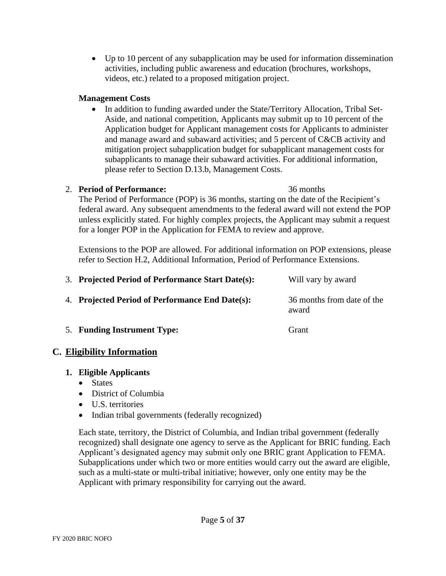• Up to 10 percent of any subapplication may be used for information dissemination activities, including public awareness and education (brochures, workshops, videos, etc.) related to a proposed mitigation project.

### **Management Costs**

• In addition to funding awarded under the State/Territory Allocation, Tribal Set-Aside, and national competition, Applicants may submit up to 10 percent of the Application budget for Applicant management costs for Applicants to administer and manage award and subaward activities; and 5 percent of C&CB activity and mitigation project subapplication budget for subapplicant management costs for subapplicants to manage their subaward activities. For additional information, please refer to Section D.13.b, Management Costs.

### 2. **Period of Performance:** 36 months

The Period of Performance (POP) is 36 months, starting on the date of the Recipient's federal award. Any subsequent amendments to the federal award will not extend the POP unless explicitly stated. For highly complex projects, the Applicant may submit a request for a longer POP in the Application for FEMA to review and approve.

Extensions to the POP are allowed. For additional information on POP extensions, please refer to Section H.2, Additional Information, Period of Performance Extensions.

| 3. Projected Period of Performance Start Date(s): | Will vary by award                  |
|---------------------------------------------------|-------------------------------------|
| 4. Projected Period of Performance End Date(s):   | 36 months from date of the<br>award |

5. **Funding Instrument Type:** Grant

# **C. Eligibility Information**

## **1. Eligible Applicants**

- States
- District of Columbia
- U.S. territories
- Indian tribal governments (federally recognized)

Each state, territory, the District of Columbia, and Indian tribal government (federally recognized) shall designate one agency to serve as the Applicant for BRIC funding. Each Applicant's designated agency may submit only one BRIC grant Application to FEMA. Subapplications under which two or more entities would carry out the award are eligible, such as a multi-state or multi-tribal initiative; however, only one entity may be the Applicant with primary responsibility for carrying out the award.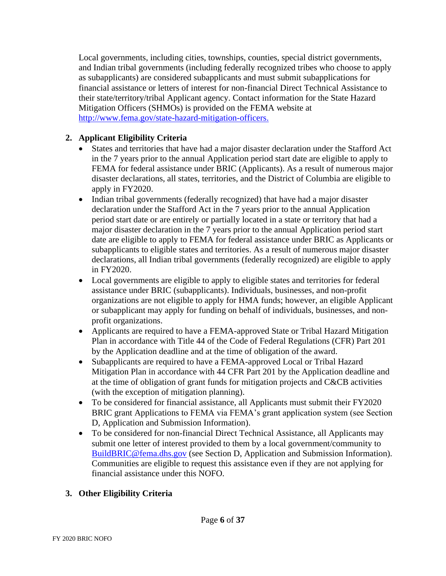Local governments, including cities, townships, counties, special district governments, and Indian tribal governments (including federally recognized tribes who choose to apply as subapplicants) are considered subapplicants and must submit subapplications for financial assistance or letters of interest for non-financial Direct Technical Assistance to their state/territory/tribal Applicant agency. Contact information for the State Hazard Mitigation Officers (SHMOs) is provided on the FEMA website at [http://www.fema.gov/state-hazard-mitigation-officers.](http://www.fema.gov/state-hazard-mitigation-officers)

# **2. Applicant Eligibility Criteria**

- States and territories that have had a major disaster declaration under the Stafford Act in the 7 years prior to the annual Application period start date are eligible to apply to FEMA for federal assistance under BRIC (Applicants). As a result of numerous major disaster declarations, all states, territories, and the District of Columbia are eligible to apply in FY2020.
- Indian tribal governments (federally recognized) that have had a major disaster declaration under the Stafford Act in the 7 years prior to the annual Application period start date or are entirely or partially located in a state or territory that had a major disaster declaration in the 7 years prior to the annual Application period start date are eligible to apply to FEMA for federal assistance under BRIC as Applicants or subapplicants to eligible states and territories. As a result of numerous major disaster declarations, all Indian tribal governments (federally recognized) are eligible to apply in FY2020.
- Local governments are eligible to apply to eligible states and territories for federal assistance under BRIC (subapplicants). Individuals, businesses, and non-profit organizations are not eligible to apply for HMA funds; however, an eligible Applicant or subapplicant may apply for funding on behalf of individuals, businesses, and nonprofit organizations.
- Applicants are required to have a FEMA-approved State or Tribal Hazard Mitigation Plan in accordance with Title 44 of the Code of Federal Regulations (CFR) Part 201 by the Application deadline and at the time of obligation of the award.
- Subapplicants are required to have a FEMA-approved Local or Tribal Hazard Mitigation Plan in accordance with 44 CFR Part 201 by the Application deadline and at the time of obligation of grant funds for mitigation projects and C&CB activities (with the exception of mitigation planning).
- To be considered for financial assistance, all Applicants must submit their FY2020 BRIC grant Applications to FEMA via FEMA's grant application system (see Section D, Application and Submission Information).
- To be considered for non-financial Direct Technical Assistance, all Applicants may submit one letter of interest provided to them by a local government/community to [BuildBRIC@fema.dhs.gov](mailto:BuildBRIC@fema.dhs.gov) (see Section D, Application and Submission Information). Communities are eligible to request this assistance even if they are not applying for financial assistance under this NOFO.

# **3. Other Eligibility Criteria**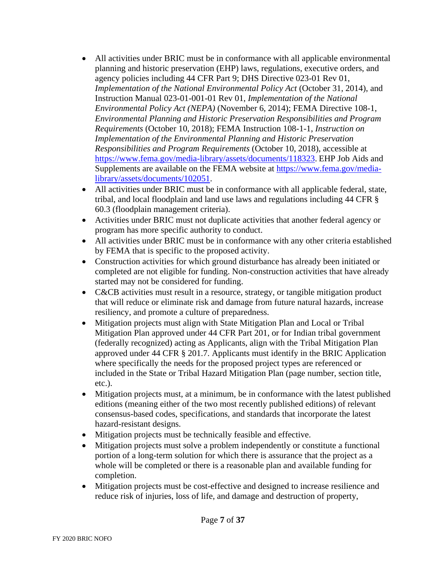- All activities under BRIC must be in conformance with all applicable environmental planning and historic preservation (EHP) laws, regulations, executive orders, and agency policies including 44 CFR Part 9; DHS Directive 023-01 Rev 01, *Implementation of the National Environmental Policy Act* (October 31, 2014), and Instruction Manual 023-01-001-01 Rev 01, *Implementation of the National Environmental Policy Act (NEPA)* (November 6, 2014); FEMA Directive 108-1, *Environmental Planning and Historic Preservation Responsibilities and Program Requirements* (October 10, 2018); FEMA Instruction 108-1-1, *Instruction on Implementation of the Environmental Planning and Historic Preservation Responsibilities and Program Requirements* (October 10, 2018), accessible at [https://www.fema.gov/media-library/assets/documents/118323.](https://www.fema.gov/media-library/assets/documents/118323) EHP Job Aids and [Supplements are available on the FEMA website at https://www.fema.gov/media](https://www.fema.gov/media-library/assets/documents/102051)library/assets/documents/102051.
- All activities under BRIC must be in conformance with all applicable federal, state, tribal, and local floodplain and land use laws and regulations including 44 CFR § 60.3 (floodplain management criteria).
- Activities under BRIC must not duplicate activities that another federal agency or program has more specific authority to conduct.
- All activities under BRIC must be in conformance with any other criteria established by FEMA that is specific to the proposed activity.
- Construction activities for which ground disturbance has already been initiated or completed are not eligible for funding. Non-construction activities that have already started may not be considered for funding.
- C&CB activities must result in a resource, strategy, or tangible mitigation product that will reduce or eliminate risk and damage from future natural hazards, increase resiliency, and promote a culture of preparedness.
- Mitigation projects must align with State Mitigation Plan and Local or Tribal Mitigation Plan approved under 44 CFR Part 201, or for Indian tribal government (federally recognized) acting as Applicants, align with the Tribal Mitigation Plan approved under 44 CFR § 201.7. Applicants must identify in the BRIC Application where specifically the needs for the proposed project types are referenced or included in the State or Tribal Hazard Mitigation Plan (page number, section title, etc.).
- Mitigation projects must, at a minimum, be in conformance with the latest published editions (meaning either of the two most recently published editions) of relevant consensus-based codes, specifications, and standards that incorporate the latest hazard-resistant designs.
- Mitigation projects must be technically feasible and effective.
- Mitigation projects must solve a problem independently or constitute a functional portion of a long-term solution for which there is assurance that the project as a whole will be completed or there is a reasonable plan and available funding for completion.
- Mitigation projects must be cost-effective and designed to increase resilience and reduce risk of injuries, loss of life, and damage and destruction of property,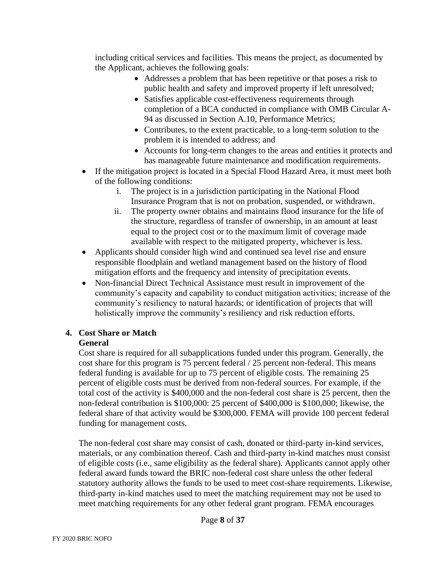including critical services and facilities. This means the project, as documented by the Applicant, achieves the following goals:

- Addresses a problem that has been repetitive or that poses a risk to public health and safety and improved property if left unresolved;
- Satisfies applicable cost-effectiveness requirements through completion of a BCA conducted in compliance with OMB Circular A-94 as discussed in Section A.10, Performance Metrics;
- Contributes, to the extent practicable, to a long-term solution to the problem it is intended to address; and
- Accounts for long-term changes to the areas and entities it protects and has manageable future maintenance and modification requirements.
- If the mitigation project is located in a Special Flood Hazard Area, it must meet both of the following conditions:
	- i. The project is in a jurisdiction participating in the National Flood Insurance Program that is not on probation, suspended, or withdrawn.
	- ii. The property owner obtains and maintains flood insurance for the life of the structure, regardless of transfer of ownership, in an amount at least equal to the project cost or to the maximum limit of coverage made available with respect to the mitigated property, whichever is less.
- Applicants should consider high wind and continued sea level rise and ensure responsible floodplain and wetland management based on the history of flood mitigation efforts and the frequency and intensity of precipitation events.
- Non-financial Direct Technical Assistance must result in improvement of the community's capacity and capability to conduct mitigation activities; increase of the community's resiliency to natural hazards; or identification of projects that will holistically improve the community's resiliency and risk reduction efforts.

#### **4. Cost Share or Match General**

#### Cost share is required for all subapplications funded under this program. Generally, the cost share for this program is 75 percent federal / 25 percent non-federal. This means federal funding is available for up to 75 percent of eligible costs. The remaining 25 percent of eligible costs must be derived from non-federal sources. For example, if the total cost of the activity is \$400,000 and the non-federal cost share is 25 percent, then the non-federal contribution is \$100,000: 25 percent of \$400,000 is \$100,000; likewise, the federal share of that activity would be \$300,000. FEMA will provide 100 percent federal funding for management costs.

The non-federal cost share may consist of cash, donated or third-party in-kind services, materials, or any combination thereof. Cash and third-party in-kind matches must consist of eligible costs (i.e., same eligibility as the federal share). Applicants cannot apply other federal award funds toward the BRIC non-federal cost share unless the other federal statutory authority allows the funds to be used to meet cost-share requirements. Likewise, third-party in-kind matches used to meet the matching requirement may not be used to meet matching requirements for any other federal grant program. FEMA encourages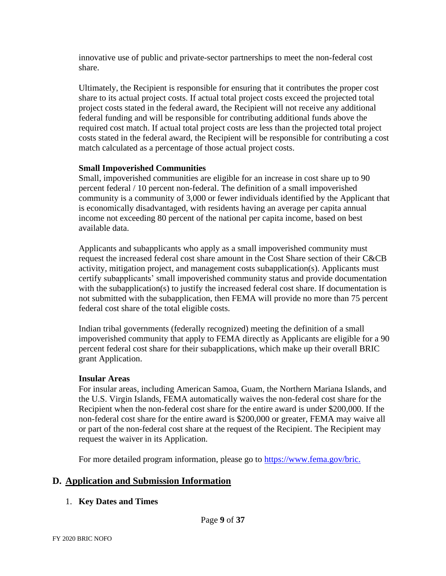innovative use of public and private-sector partnerships to meet the non-federal cost share.

Ultimately, the Recipient is responsible for ensuring that it contributes the proper cost share to its actual project costs. If actual total project costs exceed the projected total project costs stated in the federal award, the Recipient will not receive any additional federal funding and will be responsible for contributing additional funds above the required cost match. If actual total project costs are less than the projected total project costs stated in the federal award, the Recipient will be responsible for contributing a cost match calculated as a percentage of those actual project costs.

### **Small Impoverished Communities**

Small, impoverished communities are eligible for an increase in cost share up to 90 percent federal / 10 percent non-federal. The definition of a small impoverished community is a community of 3,000 or fewer individuals identified by the Applicant that is economically disadvantaged, with residents having an average per capita annual income not exceeding 80 percent of the national per capita income, based on best available data.

Applicants and subapplicants who apply as a small impoverished community must request the increased federal cost share amount in the Cost Share section of their C&CB activity, mitigation project, and management costs subapplication(s). Applicants must certify subapplicants' small impoverished community status and provide documentation with the subapplication(s) to justify the increased federal cost share. If documentation is not submitted with the subapplication, then FEMA will provide no more than 75 percent federal cost share of the total eligible costs.

Indian tribal governments (federally recognized) meeting the definition of a small impoverished community that apply to FEMA directly as Applicants are eligible for a 90 percent federal cost share for their subapplications, which make up their overall BRIC grant Application.

#### **Insular Areas**

For insular areas, including American Samoa, Guam, the Northern Mariana Islands, and the U.S. Virgin Islands, FEMA automatically waives the non-federal cost share for the Recipient when the non-federal cost share for the entire award is under \$200,000. If the non-federal cost share for the entire award is \$200,000 or greater, FEMA may waive all or part of the non-federal cost share at the request of the Recipient. The Recipient may request the waiver in its Application.

For more detailed program information, please go to [https://www.fema.gov/bric.](https://www.fema.gov/bric)

# **D. Application and Submission Information**

## 1. **Key Dates and Times**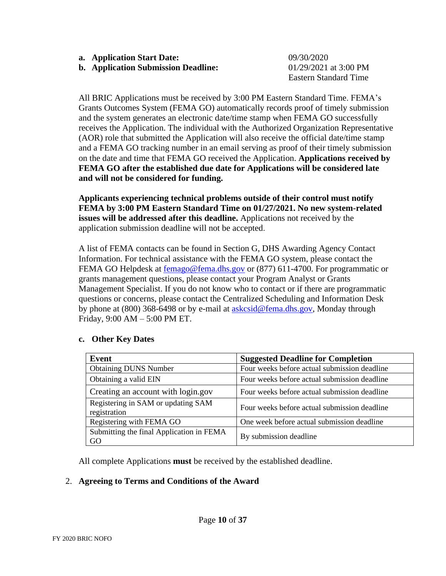- **a. Application Start Date:** 09*/*30*/*2020
- **b. Application Submission Deadline:** 01*/*29/2021 at 3:00 PM

**Eastern Standard Time** 

All BRIC Applications must be received by 3:00 PM Eastern Standard Time. FEMA's Grants Outcomes System (FEMA GO) automatically records proof of timely submission and the system generates an electronic date/time stamp when FEMA GO successfully receives the Application. The individual with the Authorized Organization Representative (AOR) role that submitted the Application will also receive the official date/time stamp and a FEMA GO tracking number in an email serving as proof of their timely submission on the date and time that FEMA GO received the Application. **Applications received by FEMA GO after the established due date for Applications will be considered late and will not be considered for funding.**

**Applicants experiencing technical problems outside of their control must notify FEMA by 3:00 PM Eastern Standard Time on 01/27/2021. No new system-related issues will be addressed after this deadline.** Applications not received by the application submission deadline will not be accepted.

A list of FEMA contacts can be found in Section G, DHS Awarding Agency Contact Information. For technical assistance with the FEMA GO system, please contact the FEMA GO Helpdesk at [femago@fema.dhs.gov](mailto:femago@fema.dhs.gov) or (877) 611-4700. For programmatic or grants management questions, please contact your Program Analyst or Grants Management Specialist. If you do not know who to contact or if there are programmatic questions or concerns, please contact the Centralized Scheduling and Information Desk by phone at (800) 368-6498 or by e-mail at [askcsid@fema.dhs.gov,](mailto:askcsid@fema.dhs.gov) Monday through Friday, 9:00 AM – 5:00 PM ET.

| Event                                              | <b>Suggested Deadline for Completion</b>     |
|----------------------------------------------------|----------------------------------------------|
| <b>Obtaining DUNS Number</b>                       | Four weeks before actual submission deadline |
| Obtaining a valid EIN                              | Four weeks before actual submission deadline |
| Creating an account with login.gov                 | Four weeks before actual submission deadline |
| Registering in SAM or updating SAM<br>registration | Four weeks before actual submission deadline |
| Registering with FEMA GO                           | One week before actual submission deadline   |
| Submitting the final Application in FEMA<br>GO     | By submission deadline                       |

#### **c. Other Key Dates**

All complete Applications **must** be received by the established deadline.

#### 2. **Agreeing to Terms and Conditions of the Award**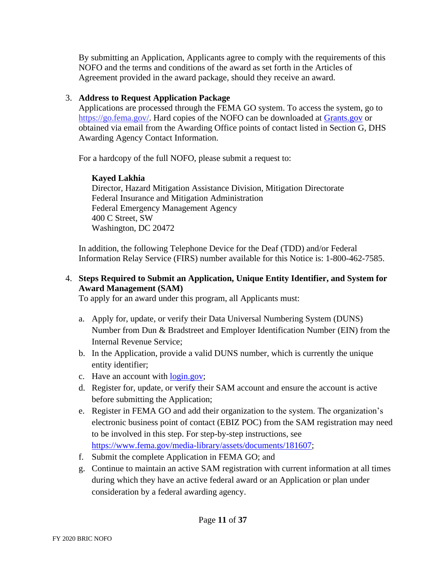By submitting an Application, Applicants agree to comply with the requirements of this NOFO and the terms and conditions of the award as set forth in the Articles of Agreement provided in the award package, should they receive an award.

### 3. **Address to Request Application Package**

Applications are processed through the FEMA GO system. To access the system, go to [https://go.fema.gov/.](https://go.fema.gov/) Hard copies of the NOFO can be downloaded at [Grants.gov](https://www.grants.gov/) or obtained via email from the Awarding Office points of contact listed in Section G, DHS Awarding Agency Contact Information.

For a hardcopy of the full NOFO, please submit a request to:

## **Kayed Lakhia**

Director, Hazard Mitigation Assistance Division, Mitigation Directorate Federal Insurance and Mitigation Administration Federal Emergency Management Agency 400 C Street, SW Washington, DC 20472

In addition, the following Telephone Device for the Deaf (TDD) and/or Federal Information Relay Service (FIRS) number available for this Notice is: 1-800-462-7585.

## 4. **Steps Required to Submit an Application, Unique Entity Identifier, and System for Award Management (SAM)**

To apply for an award under this program, all Applicants must:

- a. Apply for, update, or verify their Data Universal Numbering System (DUNS) Number from Dun & Bradstreet and Employer Identification Number (EIN) from the Internal Revenue Service;
- b. In the Application, provide a valid DUNS number, which is currently the unique entity identifier;
- c. Have an account with [login.gov;](https://www.login.gov/)
- d. Register for, update, or verify their SAM account and ensure the account is active before submitting the Application;
- e. Register in FEMA GO and add their organization to the system. The organization's electronic business point of contact (EBIZ POC) from the SAM registration may need to be involved in this step. For step-by-step instructions, see [https://www.fema.gov/media-library/assets/documents/181607;](https://www.fema.gov/media-library/assets/documents/181607)
- f. Submit the complete Application in FEMA GO; and
- g. Continue to maintain an active SAM registration with current information at all times during which they have an active federal award or an Application or plan under consideration by a federal awarding agency.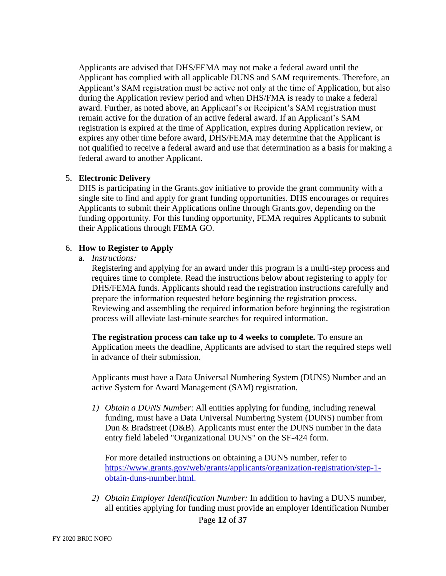Applicants are advised that DHS/FEMA may not make a federal award until the Applicant has complied with all applicable DUNS and SAM requirements. Therefore, an Applicant's SAM registration must be active not only at the time of Application, but also during the Application review period and when DHS/FMA is ready to make a federal award. Further, as noted above, an Applicant's or Recipient's SAM registration must remain active for the duration of an active federal award. If an Applicant's SAM registration is expired at the time of Application, expires during Application review, or expires any other time before award, DHS/FEMA may determine that the Applicant is not qualified to receive a federal award and use that determination as a basis for making a federal award to another Applicant.

#### 5. **Electronic Delivery**

DHS is participating in the Grants.gov initiative to provide the grant community with a single site to find and apply for grant funding opportunities. DHS encourages or requires Applicants to submit their Applications online through Grants.gov, depending on the funding opportunity. For this funding opportunity, FEMA requires Applicants to submit their Applications through FEMA GO.

#### 6. **How to Register to Apply**

a. *Instructions:*

Registering and applying for an award under this program is a multi-step process and requires time to complete. Read the instructions below about registering to apply for DHS/FEMA funds. Applicants should read the registration instructions carefully and prepare the information requested before beginning the registration process. Reviewing and assembling the required information before beginning the registration process will alleviate last-minute searches for required information.

**The registration process can take up to 4 weeks to complete.** To ensure an Application meets the deadline, Applicants are advised to start the required steps well in advance of their submission.

Applicants must have a Data Universal Numbering System (DUNS) Number and an active System for Award Management (SAM) registration.

*1) Obtain a DUNS Number*: All entities applying for funding, including renewal funding, must have a Data Universal Numbering System (DUNS) number from Dun & Bradstreet (D&B). Applicants must enter the DUNS number in the data entry field labeled "Organizational DUNS" on the SF-424 form.

For more detailed instructions on obtaining a DUNS number, refer to [https://www.grants.gov/web/grants/applicants/organization-registration/step-1](https://www.grants.gov/web/grants/applicants/organization-registration/step-1-obtain-duns-number.html) obtain-duns-number.html.

*2) Obtain Employer Identification Number:* In addition to having a DUNS number, all entities applying for funding must provide an employer Identification Number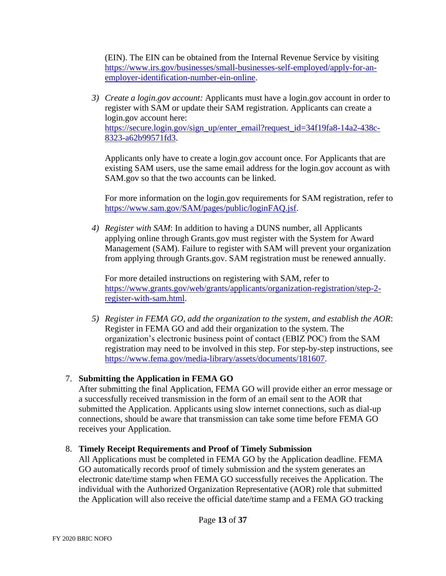(EIN). The EIN can be obtained from the Internal Revenue Service by visiting [https://www.irs.gov/businesses/small-businesses-self-employed/apply-for-an](https://www.irs.gov/businesses/small-businesses-self-employed/apply-for-an-employer-identification-number-ein-online)employer-identification-number-ein-online.

*3) Create a login.gov account:* Applicants must have a login.gov account in order to register with SAM or update their SAM registration. Applicants can create a login.gov account here: [https://secure.login.gov/sign\\_up/enter\\_email?request\\_id=34f19fa8-14a2-438c-](https://secure.login.gov/sign_up/enter_email?request_id=34f19fa8-14a2-438c-8323-a62b99571fd3)8323-a62b99571fd3.

Applicants only have to create a login.gov account once. For Applicants that are existing SAM users, use the same email address for the login.gov account as with SAM.gov so that the two accounts can be linked.

For more information on the login.gov requirements for SAM registration, refer to [https://www.sam.gov/SAM/pages/public/loginFAQ.jsf.](https://www.sam.gov/SAM/pages/public/loginFAQ.jsf)

*4) Register with SAM*: In addition to having a DUNS number, all Applicants applying online through Grants.gov must register with the System for Award Management (SAM). Failure to register with SAM will prevent your organization from applying through Grants.gov. SAM registration must be renewed annually.

For more detailed instructions on registering with SAM, refer to [https://www.grants.gov/web/grants/applicants/organization-registration/step-2](https://www.grants.gov/web/grants/applicants/organization-registration/step-2-register-with-sam.html) register-with-sam.html.

*5) Register in FEMA GO, add the organization to the system, and establish the AOR*: Register in FEMA GO and add their organization to the system. The organization's electronic business point of contact (EBIZ POC) from the SAM registration may need to be involved in this step. For step-by-step instructions, see [https://www.fema.gov/media-library/assets/documents/181607.](https://www.fema.gov/media-library/assets/documents/181607)

# 7. **Submitting the Application in FEMA GO**

After submitting the final Application, FEMA GO will provide either an error message or a successfully received transmission in the form of an email sent to the AOR that submitted the Application. Applicants using slow internet connections, such as dial-up connections, should be aware that transmission can take some time before FEMA GO receives your Application.

## 8. **Timely Receipt Requirements and Proof of Timely Submission**

All Applications must be completed in FEMA GO by the Application deadline. FEMA GO automatically records proof of timely submission and the system generates an electronic date/time stamp when FEMA GO successfully receives the Application. The individual with the Authorized Organization Representative (AOR) role that submitted the Application will also receive the official date/time stamp and a FEMA GO tracking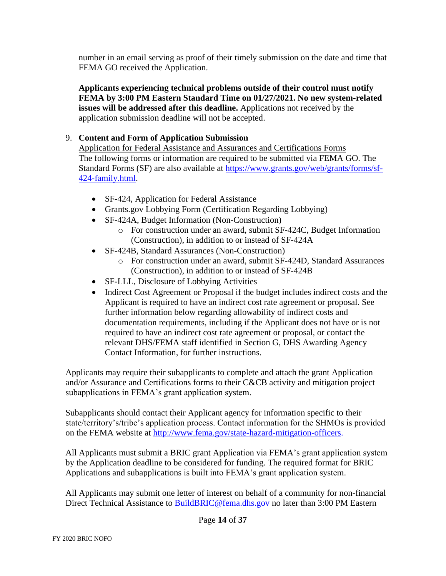number in an email serving as proof of their timely submission on the date and time that FEMA GO received the Application.

**Applicants experiencing technical problems outside of their control must notify FEMA by 3:00 PM Eastern Standard Time on 01/27/2021. No new system-related issues will be addressed after this deadline.** Applications not received by the application submission deadline will not be accepted.

### 9. **Content and Form of Application Submission**

Application for Federal Assistance and Assurances and Certifications Forms The following forms or information are required to be submitted via FEMA GO. The [Standard Forms \(SF\) are also available at https://www.grants.gov/web/grants/forms/sf-](https://www.grants.gov/web/grants/forms/sf-424-family.html)424-family.html.

- SF-424, Application for Federal Assistance
- Grants.gov Lobbying Form (Certification Regarding Lobbying)
- SF-424A, Budget Information (Non-Construction)
	- o For construction under an award, submit SF-424C, Budget Information (Construction), in addition to or instead of SF-424A
- SF-424B, Standard Assurances (Non-Construction)
	- o For construction under an award, submit SF-424D, Standard Assurances (Construction), in addition to or instead of SF-424B
- SF-LLL, Disclosure of Lobbying Activities
- Indirect Cost Agreement or Proposal if the budget includes indirect costs and the Applicant is required to have an indirect cost rate agreement or proposal. See further information below regarding allowability of indirect costs and documentation requirements, including if the Applicant does not have or is not required to have an indirect cost rate agreement or proposal, or contact the relevant DHS/FEMA staff identified in Section G, DHS Awarding Agency Contact Information, for further instructions.

Applicants may require their subapplicants to complete and attach the grant Application and/or Assurance and Certifications forms to their C&CB activity and mitigation project subapplications in FEMA's grant application system.

Subapplicants should contact their Applicant agency for information specific to their state/territory's/tribe's application process. Contact information for the SHMOs is provided on the FEMA website at [http://www.fema.gov/state-hazard-mitigation-officers.](http://www.fema.gov/state-hazard-mitigation-officers)

All Applicants must submit a BRIC grant Application via FEMA's grant application system by the Application deadline to be considered for funding. The required format for BRIC Applications and subapplications is built into FEMA's grant application system.

All Applicants may submit one letter of interest on behalf of a community for non-financial Direct Technical Assistance to [BuildBRIC@fema.dhs.gov](mailto:BuildBRIC@fema.dhs.gov) no later than 3:00 PM Eastern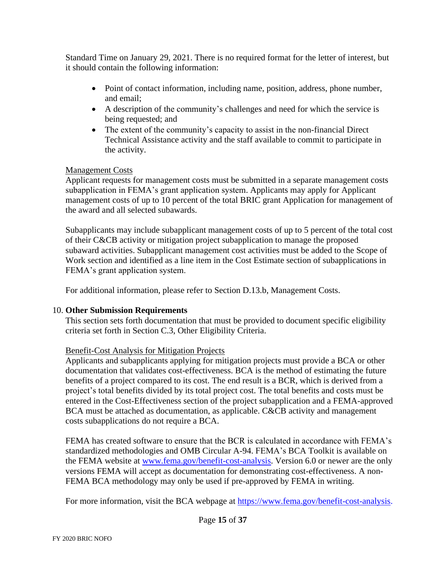Standard Time on January 29, 2021. There is no required format for the letter of interest, but it should contain the following information:

- Point of contact information, including name, position, address, phone number, and email;
- A description of the community's challenges and need for which the service is being requested; and
- The extent of the community's capacity to assist in the non-financial Direct Technical Assistance activity and the staff available to commit to participate in the activity.

#### Management Costs

Applicant requests for management costs must be submitted in a separate management costs subapplication in FEMA's grant application system. Applicants may apply for Applicant management costs of up to 10 percent of the total BRIC grant Application for management of the award and all selected subawards.

Subapplicants may include subapplicant management costs of up to 5 percent of the total cost of their C&CB activity or mitigation project subapplication to manage the proposed subaward activities. Subapplicant management cost activities must be added to the Scope of Work section and identified as a line item in the Cost Estimate section of subapplications in FEMA's grant application system.

For additional information, please refer to Section D.13.b, Management Costs.

#### 10. **Other Submission Requirements**

This section sets forth documentation that must be provided to document specific eligibility criteria set forth in Section C.3, Other Eligibility Criteria.

## Benefit-Cost Analysis for Mitigation Projects

Applicants and subapplicants applying for mitigation projects must provide a BCA or other documentation that validates cost-effectiveness. BCA is the method of estimating the future benefits of a project compared to its cost. The end result is a BCR, which is derived from a project's total benefits divided by its total project cost. The total benefits and costs must be entered in the Cost-Effectiveness section of the project subapplication and a FEMA-approved BCA must be attached as documentation, as applicable. C&CB activity and management costs subapplications do not require a BCA.

FEMA has created software to ensure that the BCR is calculated in accordance with FEMA's standardized methodologies and OMB Circular A-94. FEMA's BCA Toolkit is available on the FEMA website at [www.fema.gov/benefit-cost-analysis.](http://www.fema.gov/benefit-cost-analysis) Version 6.0 or newer are the only versions FEMA will accept as documentation for demonstrating cost-effectiveness. A non-FEMA BCA methodology may only be used if pre-approved by FEMA in writing.

For more information, visit the BCA webpage at [https://www.fema.gov/benefit-cost-analysis.](https://www.fema.gov/benefit-cost-analysis)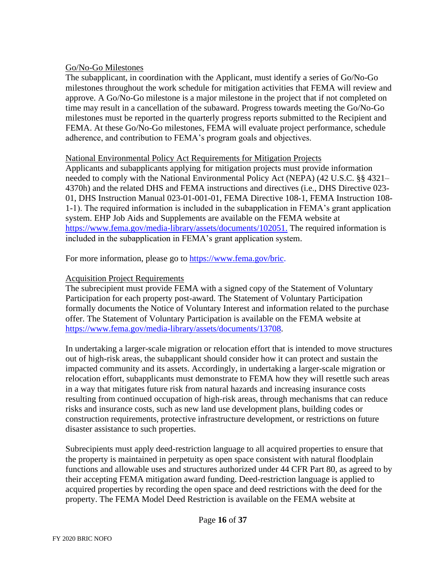#### Go/No-Go Milestones

The subapplicant, in coordination with the Applicant, must identify a series of Go/No-Go milestones throughout the work schedule for mitigation activities that FEMA will review and approve. A Go/No-Go milestone is a major milestone in the project that if not completed on time may result in a cancellation of the subaward. Progress towards meeting the Go/No-Go milestones must be reported in the quarterly progress reports submitted to the Recipient and FEMA. At these Go/No-Go milestones, FEMA will evaluate project performance, schedule adherence, and contribution to FEMA's program goals and objectives.

#### National Environmental Policy Act Requirements for Mitigation Projects

Applicants and subapplicants applying for mitigation projects must provide information needed to comply with the National Environmental Policy Act (NEPA) (42 U.S.C. §§ 4321– 4370h) and the related DHS and FEMA instructions and directives (i.e., DHS Directive 023- 01, DHS Instruction Manual 023-01-001-01, FEMA Directive 108-1, FEMA Instruction 108- 1-1). The required information is included in the subapplication in FEMA's grant application system. EHP Job Aids and Supplements are available on the FEMA website at [https://www.fema.gov/media-library/assets/documents/102051.](https://www.fema.gov/media-library/assets/documents/102051) The required information is included in the subapplication in FEMA's grant application system.

For more information, please go to [https://www.fema.gov/bric.](https://www.fema.gov/bric)

#### Acquisition Project Requirements

The subrecipient must provide FEMA with a signed copy of the Statement of Voluntary Participation for each property post-award. The Statement of Voluntary Participation formally documents the Notice of Voluntary Interest and information related to the purchase offer. The Statement of Voluntary Participation is available on the FEMA website at [https://www.fema.gov/media-library/assets/documents/13708.](https://www.fema.gov/media-library/assets/documents/13708)

In undertaking a larger-scale migration or relocation effort that is intended to move structures out of high-risk areas, the subapplicant should consider how it can protect and sustain the impacted community and its assets. Accordingly, in undertaking a larger-scale migration or relocation effort, subapplicants must demonstrate to FEMA how they will resettle such areas in a way that mitigates future risk from natural hazards and increasing insurance costs resulting from continued occupation of high-risk areas, through mechanisms that can reduce risks and insurance costs, such as new land use development plans, building codes or construction requirements, protective infrastructure development, or restrictions on future disaster assistance to such properties.

Subrecipients must apply deed-restriction language to all acquired properties to ensure that the property is maintained in perpetuity as open space consistent with natural floodplain functions and allowable uses and structures authorized under 44 CFR Part 80, as agreed to by their accepting FEMA mitigation award funding. Deed-restriction language is applied to acquired properties by recording the open space and deed restrictions with the deed for the property. The FEMA Model Deed Restriction is available on the FEMA website at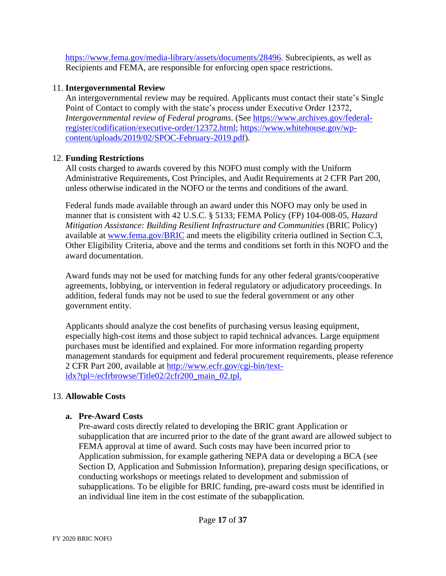[https://www.fema.gov/media-library/assets/documents/28496.](https://www.fema.gov/media-library/assets/documents/28496) Subrecipients, as well as Recipients and FEMA, are responsible for enforcing open space restrictions.

### 11. **Intergovernmental Review**

An intergovernmental review may be required. Applicants must contact their state's Single Point of Contact to comply with the state's process under Executive Order 12372, *Intergovernmental review of Federal programs*. (See [https://www.archives.gov/federal](https://www.archives.gov/federal-register/codification/executive-order/12372.html)register/codification/executive-order/12372.html; [https://www.whitehouse.gov/wp](https://www.whitehouse.gov/wp-content/uploads/2019/02/SPOC-February-2019.pdf)content/uploads/2019/02/SPOC-February-2019.pdf).

### 12. **Funding Restrictions**

All costs charged to awards covered by this NOFO must comply with the Uniform Administrative Requirements, Cost Principles, and Audit Requirements at 2 CFR Part 200, unless otherwise indicated in the NOFO or the terms and conditions of the award.

Federal funds made available through an award under this NOFO may only be used in manner that is consistent with 42 U.S.C. § 5133; FEMA Policy (FP) 104-008-05, *Hazard Mitigation Assistance: Building Resilient Infrastructure and Communities* (BRIC Policy) available at [www.fema.gov/BRIC](http://www.fema.gov/BRIC) and meets the eligibility criteria outlined in Section C.3, Other Eligibility Criteria, above and the terms and conditions set forth in this NOFO and the award documentation.

Award funds may not be used for matching funds for any other federal grants/cooperative agreements, lobbying, or intervention in federal regulatory or adjudicatory proceedings. In addition, federal funds may not be used to sue the federal government or any other government entity.

Applicants should analyze the cost benefits of purchasing versus leasing equipment, especially high-cost items and those subject to rapid technical advances. Large equipment purchases must be identified and explained. For more information regarding property management standards for equipment and federal procurement requirements, please reference [2 CFR Part 200, available at http://www.ecfr.gov/cgi-bin/text](http://www.ecfr.gov/cgi-bin/text-idx?tpl=/ecfrbrowse/Title02/2cfr200_main_02.tpl)idx?tpl=/ecfrbrowse/Title02/2cfr200\_main\_02.tpl.

## 13. **Allowable Costs**

#### **a. Pre-Award Costs**

Pre-award costs directly related to developing the BRIC grant Application or subapplication that are incurred prior to the date of the grant award are allowed subject to FEMA approval at time of award. Such costs may have been incurred prior to Application submission, for example gathering NEPA data or developing a BCA (see Section D, Application and Submission Information), preparing design specifications, or conducting workshops or meetings related to development and submission of subapplications. To be eligible for BRIC funding, pre-award costs must be identified in an individual line item in the cost estimate of the subapplication.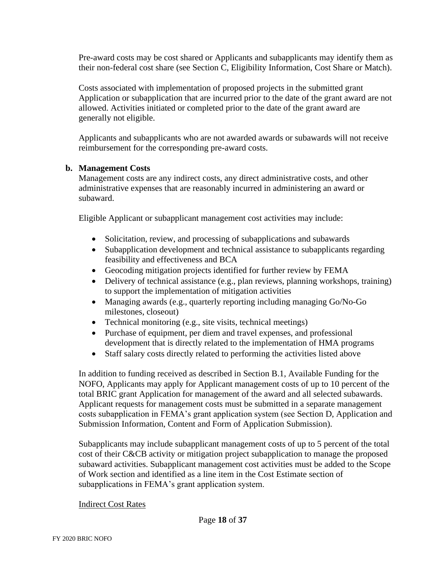Pre-award costs may be cost shared or Applicants and subapplicants may identify them as their non-federal cost share (see Section C, Eligibility Information, Cost Share or Match).

Costs associated with implementation of proposed projects in the submitted grant Application or subapplication that are incurred prior to the date of the grant award are not allowed. Activities initiated or completed prior to the date of the grant award are generally not eligible.

Applicants and subapplicants who are not awarded awards or subawards will not receive reimbursement for the corresponding pre-award costs.

#### **b. Management Costs**

Management costs are any indirect costs, any direct administrative costs, and other administrative expenses that are reasonably incurred in administering an award or subaward.

Eligible Applicant or subapplicant management cost activities may include:

- Solicitation, review, and processing of subapplications and subawards
- Subapplication development and technical assistance to subapplicants regarding feasibility and effectiveness and BCA
- Geocoding mitigation projects identified for further review by FEMA
- Delivery of technical assistance (e.g., plan reviews, planning workshops, training) to support the implementation of mitigation activities
- Managing awards (e.g., quarterly reporting including managing Go/No-Go milestones, closeout)
- Technical monitoring (e.g., site visits, technical meetings)
- Purchase of equipment, per diem and travel expenses, and professional development that is directly related to the implementation of HMA programs
- Staff salary costs directly related to performing the activities listed above

In addition to funding received as described in Section B.1, Available Funding for the NOFO, Applicants may apply for Applicant management costs of up to 10 percent of the total BRIC grant Application for management of the award and all selected subawards. Applicant requests for management costs must be submitted in a separate management costs subapplication in FEMA's grant application system (see Section D, Application and Submission Information, Content and Form of Application Submission).

Subapplicants may include subapplicant management costs of up to 5 percent of the total cost of their C&CB activity or mitigation project subapplication to manage the proposed subaward activities. Subapplicant management cost activities must be added to the Scope of Work section and identified as a line item in the Cost Estimate section of subapplications in FEMA's grant application system.

#### Indirect Cost Rates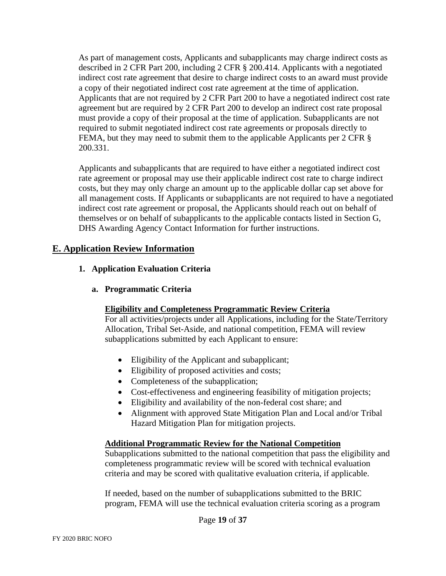As part of management costs, Applicants and subapplicants may charge indirect costs as described in 2 CFR Part 200, including 2 CFR § 200.414. Applicants with a negotiated indirect cost rate agreement that desire to charge indirect costs to an award must provide a copy of their negotiated indirect cost rate agreement at the time of application. Applicants that are not required by 2 CFR Part 200 to have a negotiated indirect cost rate agreement but are required by 2 CFR Part 200 to develop an indirect cost rate proposal must provide a copy of their proposal at the time of application. Subapplicants are not required to submit negotiated indirect cost rate agreements or proposals directly to FEMA, but they may need to submit them to the applicable Applicants per 2 CFR § 200.331.

Applicants and subapplicants that are required to have either a negotiated indirect cost rate agreement or proposal may use their applicable indirect cost rate to charge indirect costs, but they may only charge an amount up to the applicable dollar cap set above for all management costs. If Applicants or subapplicants are not required to have a negotiated indirect cost rate agreement or proposal, the Applicants should reach out on behalf of themselves or on behalf of subapplicants to the applicable contacts listed in Section G, DHS Awarding Agency Contact Information for further instructions.

## **E. Application Review Information**

#### **1. Application Evaluation Criteria**

**a. Programmatic Criteria** 

#### **Eligibility and Completeness Programmatic Review Criteria**

For all activities/projects under all Applications, including for the State/Territory Allocation, Tribal Set-Aside, and national competition, FEMA will review subapplications submitted by each Applicant to ensure:

- Eligibility of the Applicant and subapplicant;
- Eligibility of proposed activities and costs;
- Completeness of the subapplication;
- Cost-effectiveness and engineering feasibility of mitigation projects;
- Eligibility and availability of the non-federal cost share; and
- Alignment with approved State Mitigation Plan and Local and/or Tribal Hazard Mitigation Plan for mitigation projects.

#### **Additional Programmatic Review for the National Competition**

Subapplications submitted to the national competition that pass the eligibility and completeness programmatic review will be scored with technical evaluation criteria and may be scored with qualitative evaluation criteria, if applicable.

If needed, based on the number of subapplications submitted to the BRIC program, FEMA will use the technical evaluation criteria scoring as a program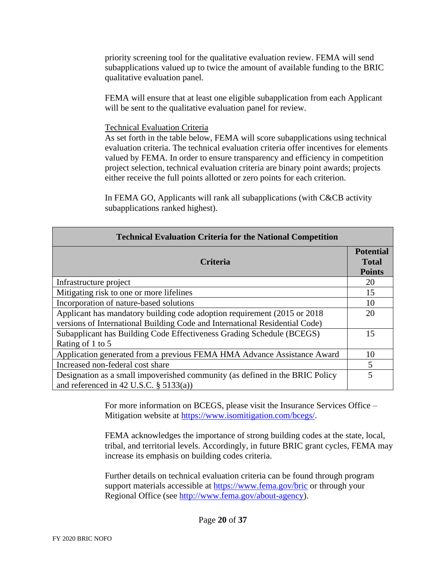priority screening tool for the qualitative evaluation review. FEMA will send subapplications valued up to twice the amount of available funding to the BRIC qualitative evaluation panel.

FEMA will ensure that at least one eligible subapplication from each Applicant will be sent to the qualitative evaluation panel for review.

#### Technical Evaluation Criteria

As set forth in the table below, FEMA will score subapplications using technical evaluation criteria. The technical evaluation criteria offer incentives for elements valued by FEMA. In order to ensure transparency and efficiency in competition project selection, technical evaluation criteria are binary point awards; projects either receive the full points allotted or zero points for each criterion.

In FEMA GO, Applicants will rank all subapplications (with C&CB activity subapplications ranked highest).

| <b>Technical Evaluation Criteria for the National Competition</b>                                                                                        |                                                   |  |
|----------------------------------------------------------------------------------------------------------------------------------------------------------|---------------------------------------------------|--|
| <b>Criteria</b>                                                                                                                                          | <b>Potential</b><br><b>Total</b><br><b>Points</b> |  |
| Infrastructure project                                                                                                                                   | 20                                                |  |
| Mitigating risk to one or more lifelines                                                                                                                 |                                                   |  |
| Incorporation of nature-based solutions                                                                                                                  |                                                   |  |
| Applicant has mandatory building code adoption requirement (2015 or 2018)<br>versions of International Building Code and International Residential Code) |                                                   |  |
| Subapplicant has Building Code Effectiveness Grading Schedule (BCEGS)<br>Rating of 1 to 5                                                                |                                                   |  |
| Application generated from a previous FEMA HMA Advance Assistance Award                                                                                  |                                                   |  |
| Increased non-federal cost share                                                                                                                         | $\overline{5}$                                    |  |
| Designation as a small impoverished community (as defined in the BRIC Policy<br>and referenced in 42 U.S.C. $\S$ 5133(a))                                | 5                                                 |  |

For more information on BCEGS, please visit the Insurance Services Office – Mitigation website at [https://www.isomitigation.com/bcegs/.](https://www.isomitigation.com/bcegs/)

FEMA acknowledges the importance of strong building codes at the state, local, tribal, and territorial levels. Accordingly, in future BRIC grant cycles, FEMA may increase its emphasis on building codes criteria.

Further details on technical evaluation criteria can be found through program support materials accessible at<https://www.fema.gov/bric> or through your Regional Office (see [http://www.fema.gov/about-agency\)](http://www.fema.gov/about-agency).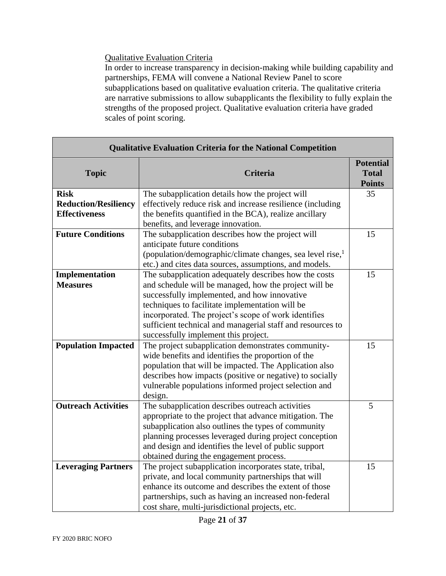## Qualitative Evaluation Criteria

In order to increase transparency in decision-making while building capability and partnerships, FEMA will convene a National Review Panel to score subapplications based on qualitative evaluation criteria. The qualitative criteria are narrative submissions to allow subapplicants the flexibility to fully explain the strengths of the proposed project. Qualitative evaluation criteria have graded scales of point scoring.

| <b>Qualitative Evaluation Criteria for the National Competition</b> |                                                              |                                                   |  |  |
|---------------------------------------------------------------------|--------------------------------------------------------------|---------------------------------------------------|--|--|
| <b>Topic</b>                                                        | <b>Criteria</b>                                              | <b>Potential</b><br><b>Total</b><br><b>Points</b> |  |  |
| <b>Risk</b>                                                         | The subapplication details how the project will              | 35                                                |  |  |
| <b>Reduction/Resiliency</b>                                         | effectively reduce risk and increase resilience (including   |                                                   |  |  |
| <b>Effectiveness</b>                                                | the benefits quantified in the BCA), realize ancillary       |                                                   |  |  |
|                                                                     | benefits, and leverage innovation.                           |                                                   |  |  |
| <b>Future Conditions</b>                                            | The subapplication describes how the project will            | 15                                                |  |  |
|                                                                     | anticipate future conditions                                 |                                                   |  |  |
|                                                                     | (population/demographic/climate changes, sea level rise, $1$ |                                                   |  |  |
|                                                                     | etc.) and cites data sources, assumptions, and models.       |                                                   |  |  |
| Implementation                                                      | The subapplication adequately describes how the costs        | 15                                                |  |  |
| <b>Measures</b>                                                     | and schedule will be managed, how the project will be        |                                                   |  |  |
|                                                                     | successfully implemented, and how innovative                 |                                                   |  |  |
|                                                                     | techniques to facilitate implementation will be              |                                                   |  |  |
|                                                                     | incorporated. The project's scope of work identifies         |                                                   |  |  |
|                                                                     | sufficient technical and managerial staff and resources to   |                                                   |  |  |
|                                                                     | successfully implement this project.                         |                                                   |  |  |
| <b>Population Impacted</b>                                          | The project subapplication demonstrates community-           | 15                                                |  |  |
|                                                                     | wide benefits and identifies the proportion of the           |                                                   |  |  |
|                                                                     | population that will be impacted. The Application also       |                                                   |  |  |
|                                                                     | describes how impacts (positive or negative) to socially     |                                                   |  |  |
|                                                                     | vulnerable populations informed project selection and        |                                                   |  |  |
|                                                                     | design.                                                      |                                                   |  |  |
| <b>Outreach Activities</b>                                          | The subapplication describes outreach activities             | 5                                                 |  |  |
|                                                                     | appropriate to the project that advance mitigation. The      |                                                   |  |  |
|                                                                     | subapplication also outlines the types of community          |                                                   |  |  |
|                                                                     | planning processes leveraged during project conception       |                                                   |  |  |
|                                                                     | and design and identifies the level of public support        |                                                   |  |  |
|                                                                     | obtained during the engagement process.                      |                                                   |  |  |
| <b>Leveraging Partners</b>                                          | The project subapplication incorporates state, tribal,       | 15                                                |  |  |
|                                                                     | private, and local community partnerships that will          |                                                   |  |  |
|                                                                     | enhance its outcome and describes the extent of those        |                                                   |  |  |
|                                                                     | partnerships, such as having an increased non-federal        |                                                   |  |  |
|                                                                     | cost share, multi-jurisdictional projects, etc.              |                                                   |  |  |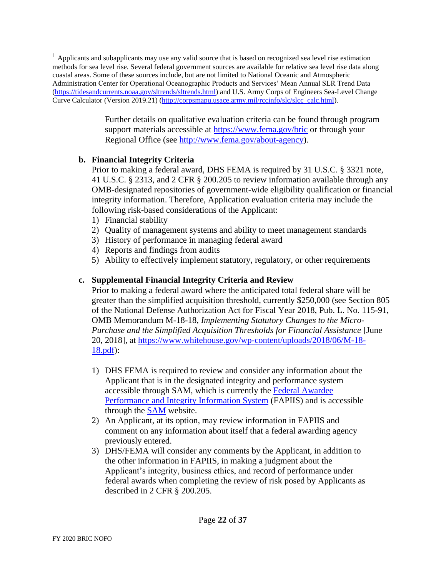<sup>1</sup> Applicants and subapplicants may use any valid source that is based on recognized sea level rise estimation methods for sea level rise. Several federal government sources are available for relative sea level rise data along coastal areas. Some of these sources include, but are not limited to National Oceanic and Atmospheric Administration Center for Operational Oceanographic Products and Services' Mean Annual SLR Trend Data [\(https://tidesandcurrents.noaa.gov/sltrends/sltrends.html\)](https://tidesandcurrents.noaa.gov/sltrends/sltrends.html) and U.S. Army Corps of Engineers Sea-Level Change Curve Calculator (Version 2019.21) [\(http://corpsmapu.usace.army.mil/rccinfo/slc/slcc\\_calc.html\)](http://corpsmapu.usace.army.mil/rccinfo/slc/slcc_calc.html).

> Further details on qualitative evaluation criteria can be found through program support materials accessible at<https://www.fema.gov/bric> or through your Regional Office (see [http://www.fema.gov/about-agency\)](http://www.fema.gov/about-agency).

## **b. Financial Integrity Criteria**

Prior to making a federal award, DHS FEMA is required by 31 U.S.C. § 3321 note, 41 U.S.C. § 2313, and 2 CFR § 200.205 to review information available through any OMB-designated repositories of government-wide eligibility qualification or financial integrity information. Therefore, Application evaluation criteria may include the following risk-based considerations of the Applicant:

- 1) Financial stability
- 2) Quality of management systems and ability to meet management standards
- 3) History of performance in managing federal award
- 4) Reports and findings from audits
- 5) Ability to effectively implement statutory, regulatory, or other requirements

### **c. Supplemental Financial Integrity Criteria and Review**

Prior to making a federal award where the anticipated total federal share will be greater than the simplified acquisition threshold, currently \$250,000 (see Section 805 of the National Defense Authorization Act for Fiscal Year 2018, Pub. L. No. 115-91, OMB Memorandum M-18-18, *Implementing Statutory Changes to the Micro-Purchase and the Simplified Acquisition Thresholds for Financial Assistance* [June [20, 2018\], at https://www.whitehouse.gov/wp-content/uploads/2018/06/M-18-](https://www.whitehouse.gov/wp-content/uploads/2018/06/M-18-18.pdf) 18.pdf):

- 1) DHS FEMA is required to review and consider any information about the Applicant that is in the designated integrity and performance system [accessible through SAM, which is currently the](https://www.fapiis.gov/fapiis/index.action) Federal Awardee Performance and Integrity Information System (FAPIIS) and is accessible through the [SAM](https://www.sam.gov/SAM/) website.
- 2) An Applicant, at its option, may review information in FAPIIS and comment on any information about itself that a federal awarding agency previously entered.
- 3) DHS/FEMA will consider any comments by the Applicant, in addition to the other information in FAPIIS, in making a judgment about the Applicant's integrity, business ethics, and record of performance under federal awards when completing the review of risk posed by Applicants as described in 2 CFR § 200.205.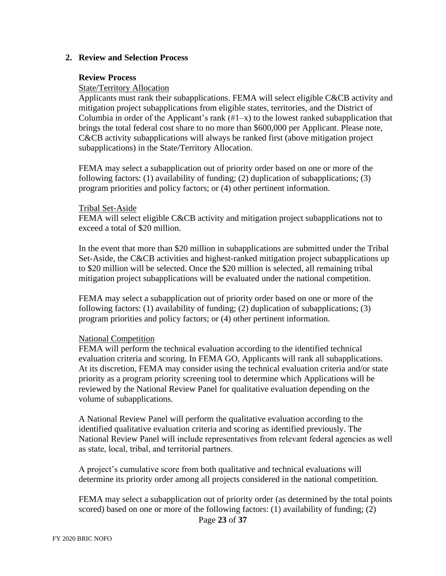#### **2. Review and Selection Process**

#### **Review Process**

#### State/Territory Allocation

Applicants must rank their subapplications. FEMA will select eligible C&CB activity and mitigation project subapplications from eligible states, territories, and the District of Columbia in order of the Applicant's rank  $(\#1-x)$  to the lowest ranked subapplication that brings the total federal cost share to no more than \$600,000 per Applicant. Please note, C&CB activity subapplications will always be ranked first (above mitigation project subapplications) in the State/Territory Allocation.

FEMA may select a subapplication out of priority order based on one or more of the following factors: (1) availability of funding; (2) duplication of subapplications; (3) program priorities and policy factors; or (4) other pertinent information.

#### Tribal Set-Aside

FEMA will select eligible C&CB activity and mitigation project subapplications not to exceed a total of \$20 million.

In the event that more than \$20 million in subapplications are submitted under the Tribal Set-Aside, the C&CB activities and highest-ranked mitigation project subapplications up to \$20 million will be selected. Once the \$20 million is selected, all remaining tribal mitigation project subapplications will be evaluated under the national competition.

FEMA may select a subapplication out of priority order based on one or more of the following factors: (1) availability of funding; (2) duplication of subapplications; (3) program priorities and policy factors; or (4) other pertinent information.

#### National Competition

FEMA will perform the technical evaluation according to the identified technical evaluation criteria and scoring. In FEMA GO, Applicants will rank all subapplications. At its discretion, FEMA may consider using the technical evaluation criteria and/or state priority as a program priority screening tool to determine which Applications will be reviewed by the National Review Panel for qualitative evaluation depending on the volume of subapplications.

A National Review Panel will perform the qualitative evaluation according to the identified qualitative evaluation criteria and scoring as identified previously. The National Review Panel will include representatives from relevant federal agencies as well as state, local, tribal, and territorial partners.

A project's cumulative score from both qualitative and technical evaluations will determine its priority order among all projects considered in the national competition.

FEMA may select a subapplication out of priority order (as determined by the total points scored) based on one or more of the following factors: (1) availability of funding; (2)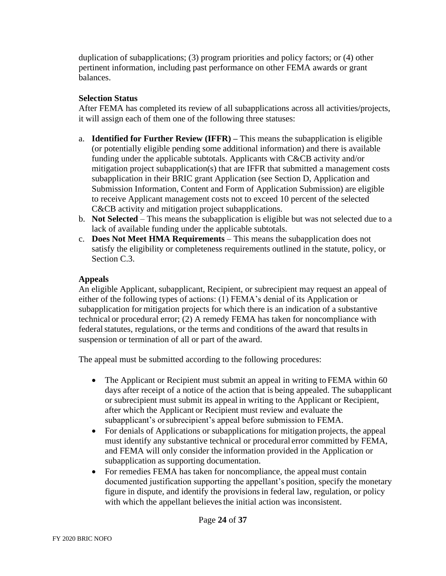duplication of subapplications; (3) program priorities and policy factors; or (4) other pertinent information, including past performance on other FEMA awards or grant balances.

### **Selection Status**

After FEMA has completed its review of all subapplications across all activities/projects, it will assign each of them one of the following three statuses:

- a. **Identified for Further Review (IFFR) –** This means the subapplication is eligible (or potentially eligible pending some additional information) and there is available funding under the applicable subtotals. Applicants with C&CB activity and/or mitigation project subapplication(s) that are IFFR that submitted a management costs subapplication in their BRIC grant Application (see Section D, Application and Submission Information, Content and Form of Application Submission) are eligible to receive Applicant management costs not to exceed 10 percent of the selected C&CB activity and mitigation project subapplications.
- b. **Not Selected**  This means the subapplication is eligible but was not selected due to a lack of available funding under the applicable subtotals.
- c. **Does Not Meet HMA Requirements** This means the subapplication does not satisfy the eligibility or completeness requirements outlined in the statute, policy, or Section C.3.

### **Appeals**

An eligible Applicant, subapplicant, Recipient, or subrecipient may request an appeal of either of the following types of actions: (1) FEMA's denial of its Application or subapplication for mitigation projects for which there is an indication of a substantive technical or procedural error; (2) A remedy FEMA has taken for noncompliance with federal statutes, regulations, or the terms and conditions of the award that results in suspension or termination of all or part of the award.

The appeal must be submitted according to the following procedures:

- The Applicant or Recipient must submit an appeal in writing to FEMA within 60 days after receipt of a notice of the action that is being appealed. The subapplicant or subrecipient must submit its appeal in writing to the Applicant or Recipient, after which the Applicant or Recipient must review and evaluate the subapplicant's orsubrecipient's appeal before submission to FEMA.
- For denials of Applications or subapplications for mitigation projects, the appeal must identify any substantive technical or procedural error committed by FEMA, and FEMA will only consider the information provided in the Application or subapplication as supporting documentation.
- For remedies FEMA has taken for noncompliance, the appeal must contain documented justification supporting the appellant's position, specify the monetary figure in dispute, and identify the provisions in federal law, regulation, or policy with which the appellant believes the initial action was inconsistent.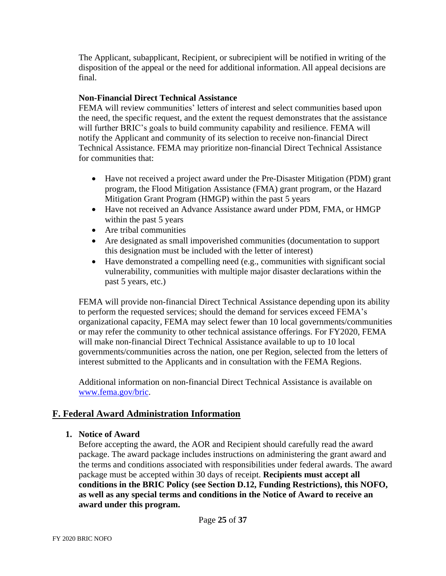The Applicant, subapplicant, Recipient, or subrecipient will be notified in writing of the disposition of the appeal or the need for additional information. All appeal decisions are final.

### **Non-Financial Direct Technical Assistance**

FEMA will review communities' letters of interest and select communities based upon the need, the specific request, and the extent the request demonstrates that the assistance will further BRIC's goals to build community capability and resilience. FEMA will notify the Applicant and community of its selection to receive non-financial Direct Technical Assistance. FEMA may prioritize non-financial Direct Technical Assistance for communities that:

- Have not received a project award under the Pre-Disaster Mitigation (PDM) grant program, the Flood Mitigation Assistance (FMA) grant program, or the Hazard Mitigation Grant Program (HMGP) within the past 5 years
- Have not received an Advance Assistance award under PDM, FMA, or HMGP within the past 5 years
- Are tribal communities
- Are designated as small impoverished communities (documentation to support this designation must be included with the letter of interest)
- Have demonstrated a compelling need (e.g., communities with significant social vulnerability, communities with multiple major disaster declarations within the past 5 years, etc.)

FEMA will provide non-financial Direct Technical Assistance depending upon its ability to perform the requested services; should the demand for services exceed FEMA's organizational capacity, FEMA may select fewer than 10 local governments/communities or may refer the community to other technical assistance offerings. For FY2020, FEMA will make non-financial Direct Technical Assistance available to up to 10 local governments/communities across the nation, one per Region, selected from the letters of interest submitted to the Applicants and in consultation with the FEMA Regions.

Additional information on non-financial Direct Technical Assistance is available on [www.fema.gov/bric.](http://www.fema.gov/bric)

# **F. Federal Award Administration Information**

## **1. Notice of Award**

Before accepting the award, the AOR and Recipient should carefully read the award package. The award package includes instructions on administering the grant award and the terms and conditions associated with responsibilities under federal awards. The award package must be accepted within 30 days of receipt. **Recipients must accept all conditions in the BRIC Policy (see Section D.12, Funding Restrictions), this NOFO, as well as any special terms and conditions in the Notice of Award to receive an award under this program.**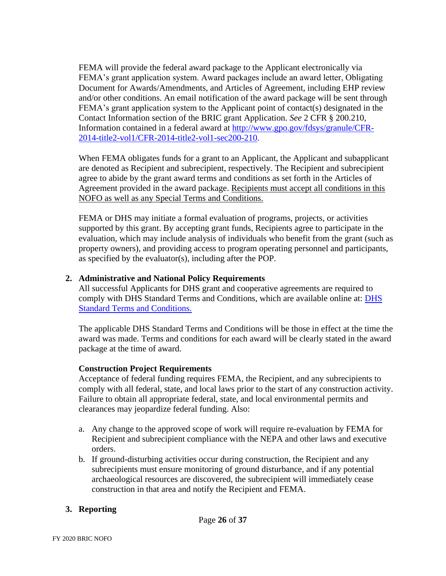FEMA will provide the federal award package to the Applicant electronically via FEMA's grant application system. Award packages include an award letter, Obligating Document for Awards/Amendments, and Articles of Agreement, including EHP review and/or other conditions. An email notification of the award package will be sent through FEMA's grant application system to the Applicant point of contact(s) designated in the Contact Information section of the BRIC grant Application. *See* 2 CFR § 200.210, [Information contained in a federal award at http://www.gpo.gov/fdsys/granule/CFR-](http://www.gpo.gov/fdsys/granule/CFR-2014-title2-vol1/CFR-2014-title2-vol1-sec200-210)2014-title2-vol1/CFR-2014-title2-vol1-sec200-210.

When FEMA obligates funds for a grant to an Applicant, the Applicant and subapplicant are denoted as Recipient and subrecipient, respectively. The Recipient and subrecipient agree to abide by the grant award terms and conditions as set forth in the Articles of Agreement provided in the award package. Recipients must accept all conditions in this NOFO as well as any Special Terms and Conditions.

FEMA or DHS may initiate a formal evaluation of programs, projects, or activities supported by this grant. By accepting grant funds, Recipients agree to participate in the evaluation, which may include analysis of individuals who benefit from the grant (such as property owners), and providing access to program operating personnel and participants, as specified by the evaluator(s), including after the POP.

### **2. Administrative and National Policy Requirements**

All successful Applicants for DHS grant and cooperative agreements are required to [comply with DHS Standard Terms and Conditions, which are available online at: DHS](http://www.dhs.gov/publication/fy15-dhs-standard-terms-and-conditions)  Standard Terms and Conditions.

The applicable DHS Standard Terms and Conditions will be those in effect at the time the award was made. Terms and conditions for each award will be clearly stated in the award package at the time of award.

## **Construction Project Requirements**

Acceptance of federal funding requires FEMA, the Recipient, and any subrecipients to comply with all federal, state, and local laws prior to the start of any construction activity. Failure to obtain all appropriate federal, state, and local environmental permits and clearances may jeopardize federal funding. Also:

- a. Any change to the approved scope of work will require re-evaluation by FEMA for Recipient and subrecipient compliance with the NEPA and other laws and executive orders.
- b. If ground-disturbing activities occur during construction, the Recipient and any subrecipients must ensure monitoring of ground disturbance, and if any potential archaeological resources are discovered, the subrecipient will immediately cease construction in that area and notify the Recipient and FEMA.

## **3. Reporting**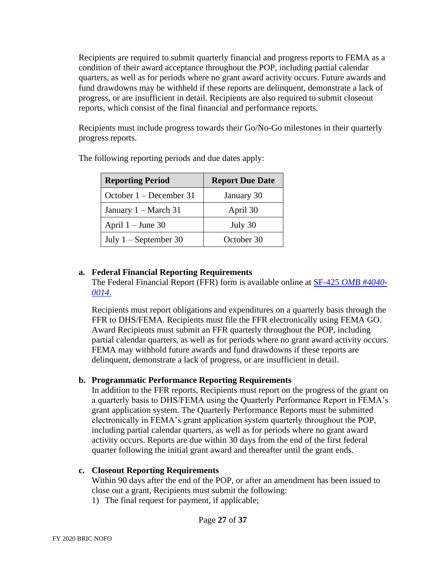Recipients are required to submit quarterly financial and progress reports to FEMA as a condition of their award acceptance throughout the POP, including partial calendar quarters, as well as for periods where no grant award activity occurs. Future awards and fund drawdowns may be withheld if these reports are delinquent, demonstrate a lack of progress, or are insufficient in detail. Recipients are also required to submit closeout reports, which consist of the final financial and performance reports.

Recipients must include progress towards their Go/No-Go milestones in their quarterly progress reports.

| <b>Reporting Period</b> | <b>Report Due Date</b> |  |
|-------------------------|------------------------|--|
| October 1 – December 31 | January 30             |  |
| January $1 - March 31$  | April 30               |  |
| April $1 -$ June 30     | July 30                |  |
| July $1 -$ September 30 | October 30             |  |

The following reporting periods and due dates apply:

## **a. Federal Financial Reporting Requirements**

[The Federal Financial Report \(FFR\) form](https://www.grants.gov/web/grants/forms/post-award-reporting-forms.html#sortby=1) is available online at SF-425 *OMB #4040- 0014*.

Recipients must report obligations and expenditures on a quarterly basis through the FFR to DHS/FEMA. Recipients must file the FFR electronically using FEMA GO. Award Recipients must submit an FFR quarterly throughout the POP, including partial calendar quarters, as well as for periods where no grant award activity occurs. FEMA may withhold future awards and fund drawdowns if these reports are delinquent, demonstrate a lack of progress, or are insufficient in detail.

## **b. Programmatic Performance Reporting Requirements**

In addition to the FFR reports, Recipients must report on the progress of the grant on a quarterly basis to DHS/FEMA using the Quarterly Performance Report in FEMA's grant application system. The Quarterly Performance Reports must be submitted electronically in FEMA's grant application system quarterly throughout the POP, including partial calendar quarters, as well as for periods where no grant award activity occurs. Reports are due within 30 days from the end of the first federal quarter following the initial grant award and thereafter until the grant ends.

#### **c. Closeout Reporting Requirements**

Within 90 days after the end of the POP, or after an amendment has been issued to close out a grant, Recipients must submit the following: 1) The final request for payment, if applicable;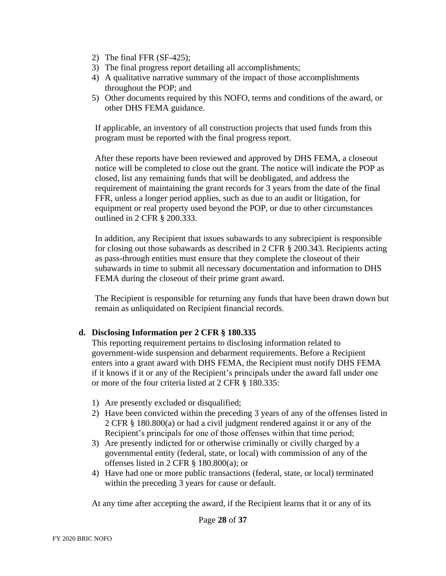- 2) The final FFR (SF-425);
- 3) The final progress report detailing all accomplishments;
- 4) A qualitative narrative summary of the impact of those accomplishments throughout the POP; and
- 5) Other documents required by this NOFO, terms and conditions of the award, or other DHS FEMA guidance.

If applicable, an inventory of all construction projects that used funds from this program must be reported with the final progress report.

After these reports have been reviewed and approved by DHS FEMA, a closeout notice will be completed to close out the grant. The notice will indicate the POP as closed, list any remaining funds that will be deobligated, and address the requirement of maintaining the grant records for 3 years from the date of the final FFR, unless a longer period applies, such as due to an audit or litigation, for equipment or real property used beyond the POP, or due to other circumstances outlined in 2 CFR § 200.333.

In addition, any Recipient that issues subawards to any subrecipient is responsible for closing out those subawards as described in 2 CFR § 200.343. Recipients acting as pass-through entities must ensure that they complete the closeout of their subawards in time to submit all necessary documentation and information to DHS FEMA during the closeout of their prime grant award.

The Recipient is responsible for returning any funds that have been drawn down but remain as unliquidated on Recipient financial records.

#### **d. Disclosing Information per 2 CFR § 180.335**

This reporting requirement pertains to disclosing information related to government-wide suspension and debarment requirements. Before a Recipient enters into a grant award with DHS FEMA, the Recipient must notify DHS FEMA if it knows if it or any of the Recipient's principals under the award fall under one or more of the four criteria listed at 2 CFR § 180.335:

- 1) Are presently excluded or disqualified;
- 2) Have been convicted within the preceding 3 years of any of the offenses listed in 2 CFR § 180.800(a) or had a civil judgment rendered against it or any of the Recipient's principals for one of those offenses within that time period;
- 3) Are presently indicted for or otherwise criminally or civilly charged by a governmental entity (federal, state, or local) with commission of any of the offenses listed in 2 CFR § 180.800(a); or
- 4) Have had one or more public transactions (federal, state, or local) terminated within the preceding 3 years for cause or default.

At any time after accepting the award, if the Recipient learns that it or any of its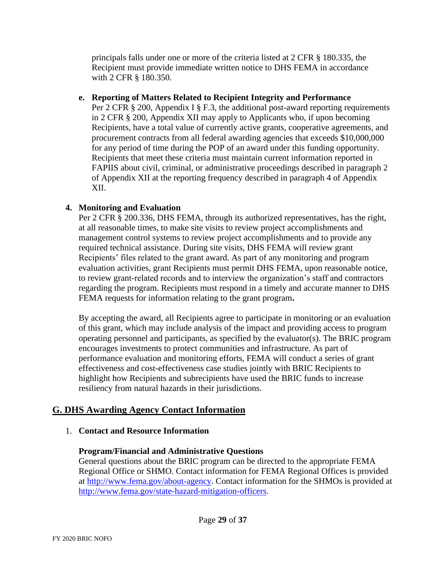principals falls under one or more of the criteria listed at 2 CFR § 180.335, the Recipient must provide immediate written notice to DHS FEMA in accordance with 2 CFR § 180.350.

#### **e. Reporting of Matters Related to Recipient Integrity and Performance**

Per 2 CFR § 200, Appendix I § F.3, the additional post-award reporting requirements in 2 CFR § 200, Appendix XII may apply to Applicants who, if upon becoming Recipients, have a total value of currently active grants, cooperative agreements, and procurement contracts from all federal awarding agencies that exceeds \$10,000,000 for any period of time during the POP of an award under this funding opportunity. Recipients that meet these criteria must maintain current information reported in FAPIIS about civil, criminal, or administrative proceedings described in paragraph 2 of Appendix XII at the reporting frequency described in paragraph 4 of Appendix XII.

### **4. Monitoring and Evaluation**

Per 2 CFR § 200.336, DHS FEMA, through its authorized representatives, has the right, at all reasonable times, to make site visits to review project accomplishments and management control systems to review project accomplishments and to provide any required technical assistance. During site visits, DHS FEMA will review grant Recipients' files related to the grant award. As part of any monitoring and program evaluation activities, grant Recipients must permit DHS FEMA, upon reasonable notice, to review grant-related records and to interview the organization's staff and contractors regarding the program. Recipients must respond in a timely and accurate manner to DHS FEMA requests for information relating to the grant program**.** 

By accepting the award, all Recipients agree to participate in monitoring or an evaluation of this grant, which may include analysis of the impact and providing access to program operating personnel and participants, as specified by the evaluator(s). The BRIC program encourages investments to protect communities and infrastructure. As part of performance evaluation and monitoring efforts, FEMA will conduct a series of grant effectiveness and cost-effectiveness case studies jointly with BRIC Recipients to highlight how Recipients and subrecipients have used the BRIC funds to increase resiliency from natural hazards in their jurisdictions.

# **G. DHS Awarding Agency Contact Information**

#### 1. **Contact and Resource Information**

#### **Program/Financial and Administrative Questions**

General questions about the BRIC program can be directed to the appropriate FEMA Regional Office or SHMO. Contact information for FEMA Regional Offices is provided at [http://www.fema.gov/about-agency.](http://www.fema.gov/about-agency) Contact information for the SHMOs is provided at [http://www.fema.gov/state-hazard-mitigation-officers.](http://www.fema.gov/state-hazard-mitigation-officers)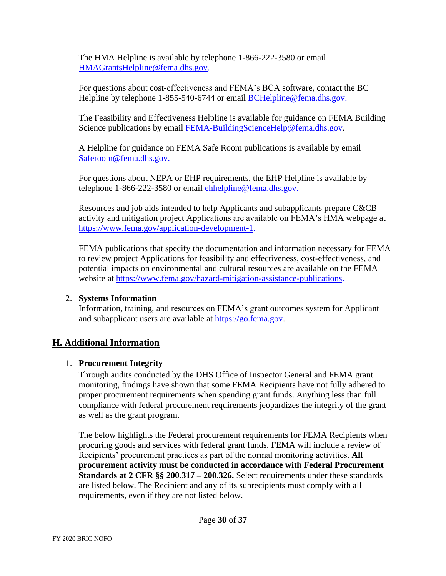The HMA Helpline is available by telephone 1-866-222-3580 or email [HMAGrantsHelpline@fema.dhs.gov.](mailto:HMAGrantsHelpline@fema.dhs.gov)

For questions about cost-effectiveness and FEMA's BCA software, contact the BC Helpline by telephone 1-855-540-6744 or email [BCHelpline@fema.dhs.gov.](mailto:BCHelpline@fema.dhs.gov)

The Feasibility and Effectiveness Helpline is available for guidance on FEMA Building Science publications by email [FEMA-BuildingScienceHelp@fema.dhs.gov.](mailto:FEMA-BuildingScienceHelp@fema.dhs.gov)

A Helpline for guidance on FEMA Safe Room publications is available by email [Saferoom@fema.dhs.gov.](mailto:Saferoom@fema.dhs.gov)

For questions about NEPA or EHP requirements, the EHP Helpline is available by telephone 1-866-222-3580 or email [ehhelpline@fema.dhs.gov.](mailto:ehhelpline@fema.dhs.gov)

Resources and job aids intended to help Applicants and subapplicants prepare C&CB activity and mitigation project Applications are available on FEMA's HMA webpage at [https://www.fema.gov/application-development-1.](https://www.fema.gov/application-development-1)

FEMA publications that specify the documentation and information necessary for FEMA to review project Applications for feasibility and effectiveness, cost-effectiveness, and potential impacts on environmental and cultural resources are available on the FEMA website at [https://www.fema.gov/hazard-mitigation-assistance-publications.](https://www.fema.gov/hazard-mitigation-assistance-publications)

## 2. **Systems Information**

Information, training, and resources on FEMA's grant outcomes system for Applicant and subapplicant users are available at [https://go.fema.gov.](https://go.fema.gov/)

# **H. Additional Information**

## 1. **Procurement Integrity**

Through audits conducted by the DHS Office of Inspector General and FEMA grant monitoring, findings have shown that some FEMA Recipients have not fully adhered to proper procurement requirements when spending grant funds. Anything less than full compliance with federal procurement requirements jeopardizes the integrity of the grant as well as the grant program.

The below highlights the Federal procurement requirements for FEMA Recipients when procuring goods and services with federal grant funds. FEMA will include a review of Recipients' procurement practices as part of the normal monitoring activities. **All procurement activity must be conducted in accordance with Federal Procurement Standards at 2 CFR §§ 200.317 – 200.326.** Select requirements under these standards are listed below. The Recipient and any of its subrecipients must comply with all requirements, even if they are not listed below.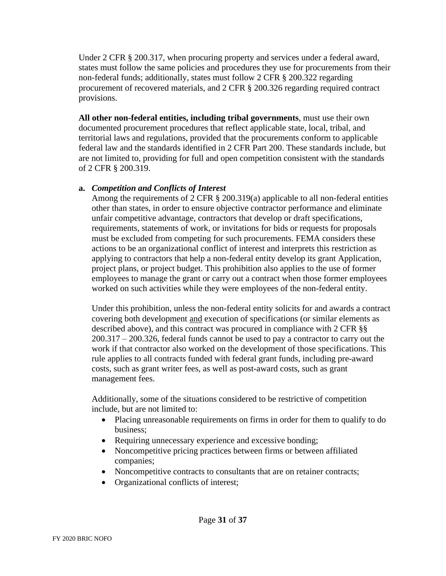Under 2 CFR § 200.317, when procuring property and services under a federal award, states must follow the same policies and procedures they use for procurements from their non-federal funds; additionally, states must follow 2 CFR § 200.322 regarding procurement of recovered materials, and 2 CFR § 200.326 regarding required contract provisions.

**All other non-federal entities, including tribal governments**, must use their own documented procurement procedures that reflect applicable state, local, tribal, and territorial laws and regulations, provided that the procurements conform to applicable federal law and the standards identified in 2 CFR Part 200. These standards include, but are not limited to, providing for full and open competition consistent with the standards of 2 CFR § 200.319.

#### **a.** *Competition and Conflicts of Interest*

Among the requirements of 2 CFR § 200.319(a) applicable to all non-federal entities other than states, in order to ensure objective contractor performance and eliminate unfair competitive advantage, contractors that develop or draft specifications, requirements, statements of work, or invitations for bids or requests for proposals must be excluded from competing for such procurements. FEMA considers these actions to be an organizational conflict of interest and interprets this restriction as applying to contractors that help a non-federal entity develop its grant Application, project plans, or project budget. This prohibition also applies to the use of former employees to manage the grant or carry out a contract when those former employees worked on such activities while they were employees of the non-federal entity.

Under this prohibition, unless the non-federal entity solicits for and awards a contract covering both development and execution of specifications (or similar elements as described above), and this contract was procured in compliance with 2 CFR §§ 200.317 – 200.326, federal funds cannot be used to pay a contractor to carry out the work if that contractor also worked on the development of those specifications. This rule applies to all contracts funded with federal grant funds, including pre-award costs, such as grant writer fees, as well as post-award costs, such as grant management fees.

Additionally, some of the situations considered to be restrictive of competition include, but are not limited to:

- Placing unreasonable requirements on firms in order for them to qualify to do business;
- Requiring unnecessary experience and excessive bonding;
- Noncompetitive pricing practices between firms or between affiliated companies;
- Noncompetitive contracts to consultants that are on retainer contracts;
- Organizational conflicts of interest;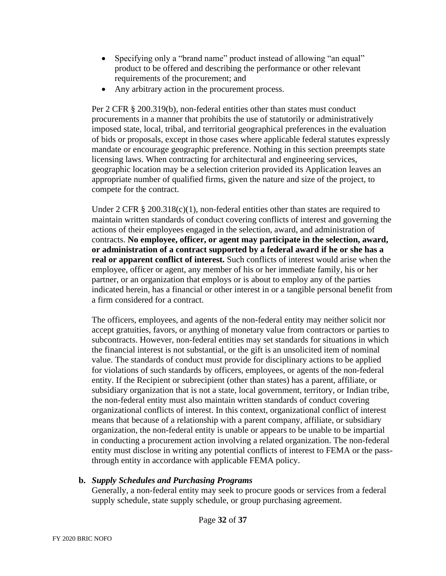- Specifying only a "brand name" product instead of allowing "an equal" product to be offered and describing the performance or other relevant requirements of the procurement; and
- Any arbitrary action in the procurement process.

Per 2 CFR § 200.319(b), non-federal entities other than states must conduct procurements in a manner that prohibits the use of statutorily or administratively imposed state, local, tribal, and territorial geographical preferences in the evaluation of bids or proposals, except in those cases where applicable federal statutes expressly mandate or encourage geographic preference. Nothing in this section preempts state licensing laws. When contracting for architectural and engineering services, geographic location may be a selection criterion provided its Application leaves an appropriate number of qualified firms, given the nature and size of the project, to compete for the contract.

Under 2 CFR  $\S 200.318(c)(1)$ , non-federal entities other than states are required to maintain written standards of conduct covering conflicts of interest and governing the actions of their employees engaged in the selection, award, and administration of contracts. **No employee, officer, or agent may participate in the selection, award, or administration of a contract supported by a federal award if he or she has a real or apparent conflict of interest.** Such conflicts of interest would arise when the employee, officer or agent, any member of his or her immediate family, his or her partner, or an organization that employs or is about to employ any of the parties indicated herein, has a financial or other interest in or a tangible personal benefit from a firm considered for a contract.

The officers, employees, and agents of the non-federal entity may neither solicit nor accept gratuities, favors, or anything of monetary value from contractors or parties to subcontracts. However, non-federal entities may set standards for situations in which the financial interest is not substantial, or the gift is an unsolicited item of nominal value. The standards of conduct must provide for disciplinary actions to be applied for violations of such standards by officers, employees, or agents of the non-federal entity. If the Recipient or subrecipient (other than states) has a parent, affiliate, or subsidiary organization that is not a state, local government, territory, or Indian tribe, the non-federal entity must also maintain written standards of conduct covering organizational conflicts of interest. In this context, organizational conflict of interest means that because of a relationship with a parent company, affiliate, or subsidiary organization, the non-federal entity is unable or appears to be unable to be impartial in conducting a procurement action involving a related organization. The non-federal entity must disclose in writing any potential conflicts of interest to FEMA or the passthrough entity in accordance with applicable FEMA policy.

#### **b.** *Supply Schedules and Purchasing Programs*

Generally, a non-federal entity may seek to procure goods or services from a federal supply schedule, state supply schedule, or group purchasing agreement.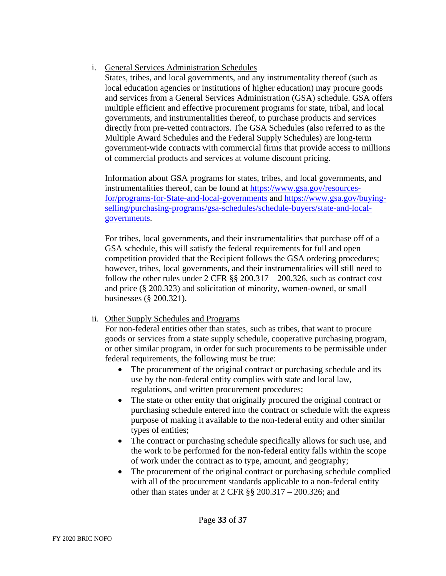## i. General Services Administration Schedules

States, tribes, and local governments, and any instrumentality thereof (such as local education agencies or institutions of higher education) may procure goods and services from a General Services Administration (GSA) schedule. GSA offers multiple efficient and effective procurement programs for state, tribal, and local governments, and instrumentalities thereof, to purchase products and services directly from pre-vetted contractors. The GSA Schedules (also referred to as the Multiple Award Schedules and the Federal Supply Schedules) are long-term government-wide contracts with commercial firms that provide access to millions of commercial products and services at volume discount pricing.

Information about GSA programs for states, tribes, and local governments, and instrumentalities thereof, can be found at [https://www.gsa.gov/resources](https://www.gsa.gov/resources-for/programs-for-State-and-local-governments)for/programs-for-State-and-local-governments and https://www.gsa.gov/buying[selling/purchasing-programs/gsa-schedules/schedule-buyers/state-and-local](https://www.gsa.gov/buying-selling/purchasing-programs/gsa-schedules/schedule-buyers/state-and-local-governments)governments.

For tribes, local governments, and their instrumentalities that purchase off of a GSA schedule, this will satisfy the federal requirements for full and open competition provided that the Recipient follows the GSA ordering procedures; however, tribes, local governments, and their instrumentalities will still need to follow the other rules under  $2 \text{ CFR }$  §§  $200.317 - 200.326$ , such as contract cost and price (§ 200.323) and solicitation of minority, women-owned, or small businesses (§ 200.321).

## ii. Other Supply Schedules and Programs

For non-federal entities other than states, such as tribes, that want to procure goods or services from a state supply schedule, cooperative purchasing program, or other similar program, in order for such procurements to be permissible under federal requirements, the following must be true:

- The procurement of the original contract or purchasing schedule and its use by the non-federal entity complies with state and local law, regulations, and written procurement procedures;
- The state or other entity that originally procured the original contract or purchasing schedule entered into the contract or schedule with the express purpose of making it available to the non-federal entity and other similar types of entities;
- The contract or purchasing schedule specifically allows for such use, and the work to be performed for the non-federal entity falls within the scope of work under the contract as to type, amount, and geography;
- The procurement of the original contract or purchasing schedule complied with all of the procurement standards applicable to a non-federal entity other than states under at 2 CFR §§ 200.317 – 200.326; and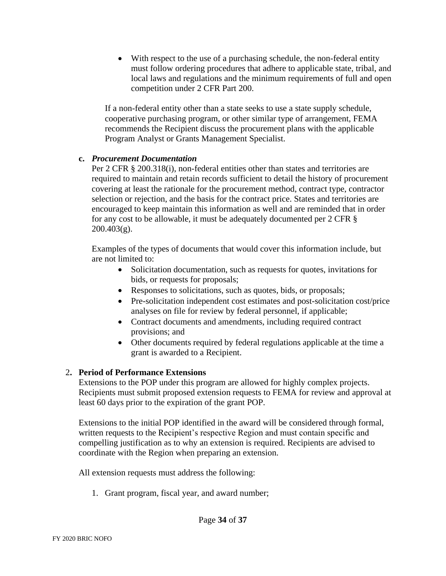• With respect to the use of a purchasing schedule, the non-federal entity must follow ordering procedures that adhere to applicable state, tribal, and local laws and regulations and the minimum requirements of full and open competition under 2 CFR Part 200.

If a non-federal entity other than a state seeks to use a state supply schedule, cooperative purchasing program, or other similar type of arrangement, FEMA recommends the Recipient discuss the procurement plans with the applicable Program Analyst or Grants Management Specialist.

#### **c.** *Procurement Documentation*

Per 2 CFR § 200.318(i), non-federal entities other than states and territories are required to maintain and retain records sufficient to detail the history of procurement covering at least the rationale for the procurement method, contract type, contractor selection or rejection, and the basis for the contract price. States and territories are encouraged to keep maintain this information as well and are reminded that in order for any cost to be allowable, it must be adequately documented per 2 CFR §  $200.403(g)$ .

Examples of the types of documents that would cover this information include, but are not limited to:

- Solicitation documentation, such as requests for quotes, invitations for bids, or requests for proposals;
- Responses to solicitations, such as quotes, bids, or proposals;
- Pre-solicitation independent cost estimates and post-solicitation cost/price analyses on file for review by federal personnel, if applicable;
- Contract documents and amendments, including required contract provisions; and
- Other documents required by federal regulations applicable at the time a grant is awarded to a Recipient.

# 2**. Period of Performance Extensions**

Extensions to the POP under this program are allowed for highly complex projects. Recipients must submit proposed extension requests to FEMA for review and approval at least 60 days prior to the expiration of the grant POP.

Extensions to the initial POP identified in the award will be considered through formal, written requests to the Recipient's respective Region and must contain specific and compelling justification as to why an extension is required. Recipients are advised to coordinate with the Region when preparing an extension.

All extension requests must address the following:

1. Grant program, fiscal year, and award number;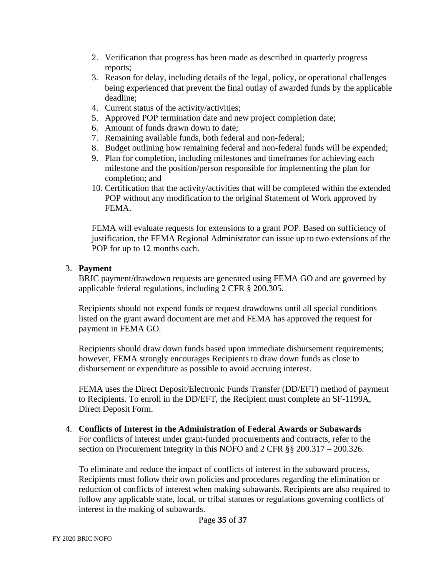- 2. Verification that progress has been made as described in quarterly progress reports;
- 3. Reason for delay, including details of the legal, policy, or operational challenges being experienced that prevent the final outlay of awarded funds by the applicable deadline;
- 4. Current status of the activity/activities;
- 5. Approved POP termination date and new project completion date;
- 6. Amount of funds drawn down to date;
- 7. Remaining available funds, both federal and non-federal;
- 8. Budget outlining how remaining federal and non-federal funds will be expended;
- 9. Plan for completion, including milestones and timeframes for achieving each milestone and the position/person responsible for implementing the plan for completion; and
- 10. Certification that the activity/activities that will be completed within the extended POP without any modification to the original Statement of Work approved by FEMA.

FEMA will evaluate requests for extensions to a grant POP. Based on sufficiency of justification, the FEMA Regional Administrator can issue up to two extensions of the POP for up to 12 months each.

### 3. **Payment**

BRIC payment/drawdown requests are generated using FEMA GO and are governed by applicable federal regulations, including 2 CFR § 200.305.

Recipients should not expend funds or request drawdowns until all special conditions listed on the grant award document are met and FEMA has approved the request for payment in FEMA GO.

Recipients should draw down funds based upon immediate disbursement requirements; however, FEMA strongly encourages Recipients to draw down funds as close to disbursement or expenditure as possible to avoid accruing interest.

FEMA uses the Direct Deposit/Electronic Funds Transfer (DD/EFT) method of payment to Recipients. To enroll in the DD/EFT, the Recipient must complete an SF-1199A, Direct Deposit Form.

#### 4. **Conflicts of Interest in the Administration of Federal Awards or Subawards** For conflicts of interest under grant-funded procurements and contracts, refer to the section on Procurement Integrity in this NOFO and 2 CFR §§ 200.317 – 200.326.

To eliminate and reduce the impact of conflicts of interest in the subaward process, Recipients must follow their own policies and procedures regarding the elimination or reduction of conflicts of interest when making subawards. Recipients are also required to follow any applicable state, local, or tribal statutes or regulations governing conflicts of interest in the making of subawards.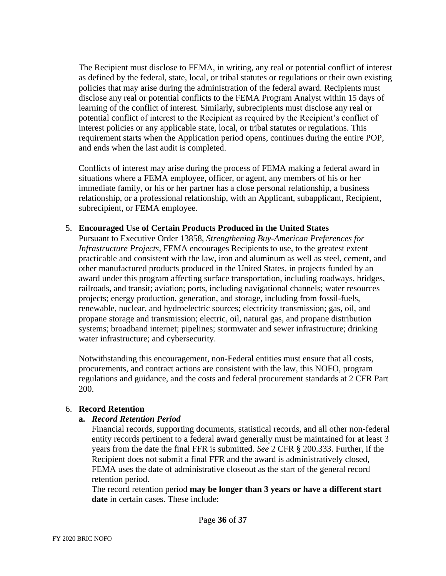The Recipient must disclose to FEMA, in writing, any real or potential conflict of interest as defined by the federal, state, local, or tribal statutes or regulations or their own existing policies that may arise during the administration of the federal award. Recipients must disclose any real or potential conflicts to the FEMA Program Analyst within 15 days of learning of the conflict of interest. Similarly, subrecipients must disclose any real or potential conflict of interest to the Recipient as required by the Recipient's conflict of interest policies or any applicable state, local, or tribal statutes or regulations. This requirement starts when the Application period opens, continues during the entire POP, and ends when the last audit is completed.

Conflicts of interest may arise during the process of FEMA making a federal award in situations where a FEMA employee, officer, or agent, any members of his or her immediate family, or his or her partner has a close personal relationship, a business relationship, or a professional relationship, with an Applicant, subapplicant, Recipient, subrecipient, or FEMA employee.

#### 5. **Encouraged Use of Certain Products Produced in the United States**

Pursuant to Executive Order 13858, *Strengthening Buy-American Preferences for Infrastructure Projects*, FEMA encourages Recipients to use, to the greatest extent practicable and consistent with the law, iron and aluminum as well as steel, cement, and other manufactured products produced in the United States, in projects funded by an award under this program affecting surface transportation, including roadways, bridges, railroads, and transit; aviation; ports, including navigational channels; water resources projects; energy production, generation, and storage, including from fossil-fuels, renewable, nuclear, and hydroelectric sources; electricity transmission; gas, oil, and propane storage and transmission; electric, oil, natural gas, and propane distribution systems; broadband internet; pipelines; stormwater and sewer infrastructure; drinking water infrastructure; and cybersecurity.

Notwithstanding this encouragement, non-Federal entities must ensure that all costs, procurements, and contract actions are consistent with the law, this NOFO, program regulations and guidance, and the costs and federal procurement standards at 2 CFR Part 200.

#### 6. **Record Retention**

#### **a.** *Record Retention Period*

Financial records, supporting documents, statistical records, and all other non-federal entity records pertinent to a federal award generally must be maintained for at least 3 years from the date the final FFR is submitted. *See* 2 CFR § 200.333. Further, if the Recipient does not submit a final FFR and the award is administratively closed, FEMA uses the date of administrative closeout as the start of the general record retention period.

The record retention period **may be longer than 3 years or have a different start date** in certain cases. These include: